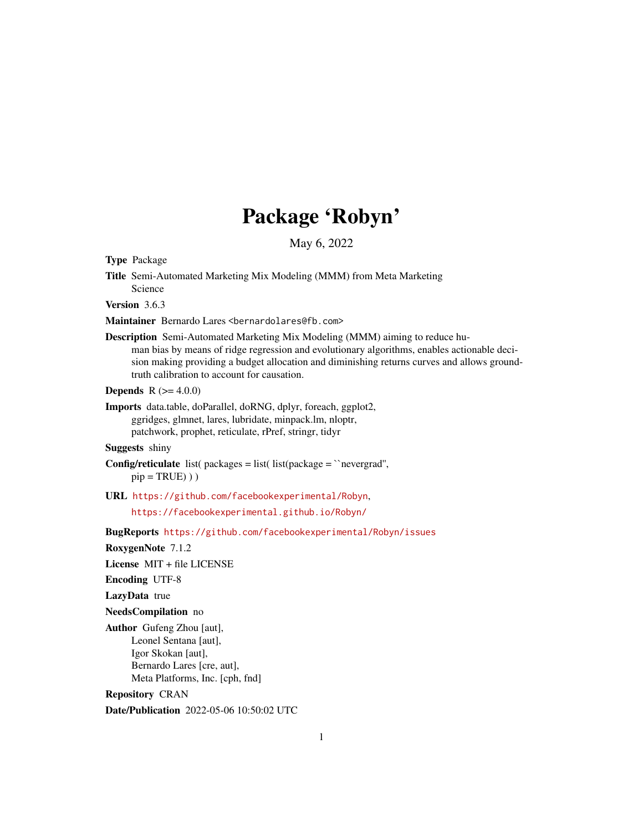# Package 'Robyn'

May 6, 2022

Type Package

Title Semi-Automated Marketing Mix Modeling (MMM) from Meta Marketing Science

Version 3.6.3

Maintainer Bernardo Lares <bernardolares@fb.com>

Description Semi-Automated Marketing Mix Modeling (MMM) aiming to reduce human bias by means of ridge regression and evolutionary algorithms, enables actionable decision making providing a budget allocation and diminishing returns curves and allows groundtruth calibration to account for causation.

**Depends** R  $(>= 4.0.0)$ 

Imports data.table, doParallel, doRNG, dplyr, foreach, ggplot2, ggridges, glmnet, lares, lubridate, minpack.lm, nloptr, patchwork, prophet, reticulate, rPref, stringr, tidyr

Suggests shiny

**Config/reticulate** list( $package = list($  list( $package = 'nevergrad'$ ,  $pip = TRUE)$ ))

URL <https://github.com/facebookexperimental/Robyn>,

<https://facebookexperimental.github.io/Robyn/>

BugReports <https://github.com/facebookexperimental/Robyn/issues>

RoxygenNote 7.1.2

License MIT + file LICENSE

Encoding UTF-8

LazyData true

NeedsCompilation no

Author Gufeng Zhou [aut], Leonel Sentana [aut], Igor Skokan [aut], Bernardo Lares [cre, aut], Meta Platforms, Inc. [cph, fnd]

Repository CRAN

Date/Publication 2022-05-06 10:50:02 UTC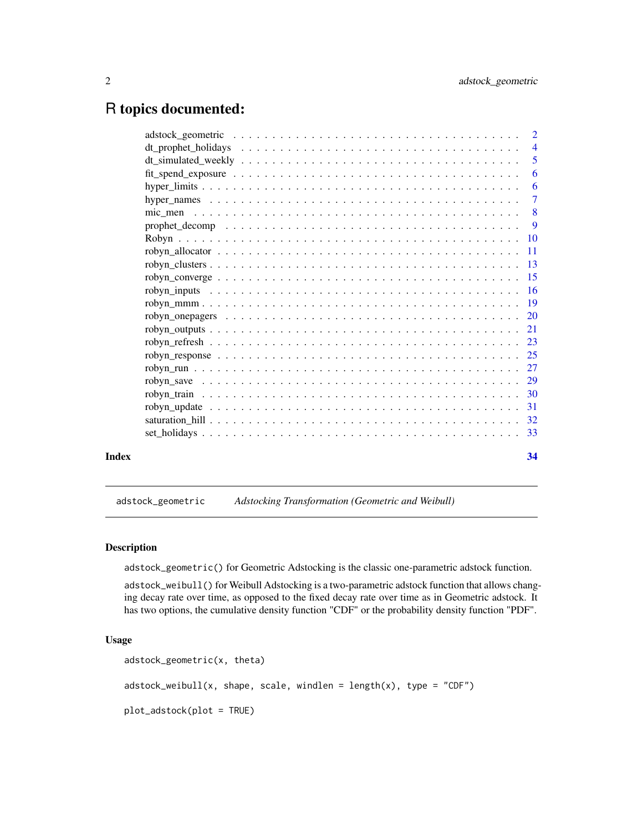# <span id="page-1-0"></span>R topics documented:

|       |                                                                                                           | $\overline{2}$ |
|-------|-----------------------------------------------------------------------------------------------------------|----------------|
|       |                                                                                                           | $\overline{4}$ |
|       |                                                                                                           | $\overline{5}$ |
|       |                                                                                                           | 6              |
|       |                                                                                                           | -6             |
|       |                                                                                                           | $\overline{7}$ |
|       |                                                                                                           |                |
|       |                                                                                                           |                |
|       |                                                                                                           |                |
|       |                                                                                                           |                |
|       |                                                                                                           |                |
|       |                                                                                                           |                |
|       |                                                                                                           |                |
|       |                                                                                                           |                |
|       |                                                                                                           |                |
|       |                                                                                                           |                |
|       |                                                                                                           |                |
|       |                                                                                                           |                |
|       |                                                                                                           |                |
|       |                                                                                                           |                |
|       |                                                                                                           |                |
|       | robyn update $\ldots \ldots \ldots \ldots \ldots \ldots \ldots \ldots \ldots \ldots \ldots \ldots \ldots$ |                |
|       |                                                                                                           |                |
|       |                                                                                                           |                |
| Index |                                                                                                           | 34             |

<span id="page-1-1"></span>adstock\_geometric *Adstocking Transformation (Geometric and Weibull)*

# Description

adstock\_geometric() for Geometric Adstocking is the classic one-parametric adstock function.

adstock\_weibull() for Weibull Adstocking is a two-parametric adstock function that allows changing decay rate over time, as opposed to the fixed decay rate over time as in Geometric adstock. It has two options, the cumulative density function "CDF" or the probability density function "PDF".

# Usage

```
adstock_geometric(x, theta)
adstock\_weibull(x, shape, scale, windlen = length(x), type = "CDF")plot_adstock(plot = TRUE)
```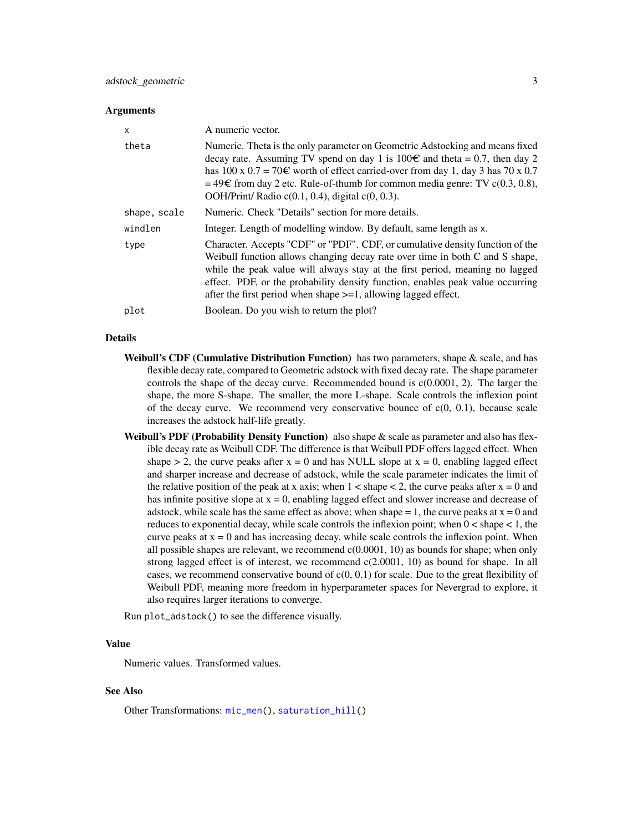#### <span id="page-2-0"></span>Arguments

| X            | A numeric vector.                                                                                                                                                                                                                                                                                                                                                                                           |
|--------------|-------------------------------------------------------------------------------------------------------------------------------------------------------------------------------------------------------------------------------------------------------------------------------------------------------------------------------------------------------------------------------------------------------------|
| theta        | Numeric. Theta is the only parameter on Geometric Adstocking and means fixed<br>decay rate. Assuming TV spend on day 1 is $100\epsilon$ and theta = 0.7, then day 2<br>has 100 x $0.7 = 70 \text{E}$ worth of effect carried-over from day 1, day 3 has 70 x 0.7<br>$=$ 49€ from day 2 etc. Rule-of-thumb for common media genre: TV c(0.3, 0.8),<br>OOH/Print/ Radio $c(0.1, 0.4)$ , digital $c(0, 0.3)$ . |
| shape, scale | Numeric. Check "Details" section for more details.                                                                                                                                                                                                                                                                                                                                                          |
| windlen      | Integer. Length of modelling window. By default, same length as x.                                                                                                                                                                                                                                                                                                                                          |
| type         | Character. Accepts "CDF" or "PDF". CDF, or cumulative density function of the<br>Weibull function allows changing decay rate over time in both C and S shape,<br>while the peak value will always stay at the first period, meaning no lagged<br>effect. PDF, or the probability density function, enables peak value occurring<br>after the first period when shape $>=1$ , allowing lagged effect.        |
| plot         | Boolean. Do you wish to return the plot?                                                                                                                                                                                                                                                                                                                                                                    |

#### Details

- Weibull's CDF (Cumulative Distribution Function) has two parameters, shape  $\&$  scale, and has flexible decay rate, compared to Geometric adstock with fixed decay rate. The shape parameter controls the shape of the decay curve. Recommended bound is c(0.0001, 2). The larger the shape, the more S-shape. The smaller, the more L-shape. Scale controls the inflexion point of the decay curve. We recommend very conservative bounce of  $c(0, 0.1)$ , because scale increases the adstock half-life greatly.
- Weibull's PDF (Probability Density Function) also shape  $\&$  scale as parameter and also has flexible decay rate as Weibull CDF. The difference is that Weibull PDF offers lagged effect. When shape  $> 2$ , the curve peaks after  $x = 0$  and has NULL slope at  $x = 0$ , enabling lagged effect and sharper increase and decrease of adstock, while the scale parameter indicates the limit of the relative position of the peak at x axis; when  $1 <$  shape  $<$  2, the curve peaks after  $x = 0$  and has infinite positive slope at  $x = 0$ , enabling lagged effect and slower increase and decrease of adstock, while scale has the same effect as above; when shape  $= 1$ , the curve peaks at  $x = 0$  and reduces to exponential decay, while scale controls the inflexion point; when  $0 <$  shape  $< 1$ , the curve peaks at  $x = 0$  and has increasing decay, while scale controls the inflexion point. When all possible shapes are relevant, we recommend  $c(0.0001, 10)$  as bounds for shape; when only strong lagged effect is of interest, we recommend c(2.0001, 10) as bound for shape. In all cases, we recommend conservative bound of  $c(0, 0.1)$  for scale. Due to the great flexibility of Weibull PDF, meaning more freedom in hyperparameter spaces for Nevergrad to explore, it also requires larger iterations to converge.

Run plot\_adstock() to see the difference visually.

#### Value

Numeric values. Transformed values.

#### See Also

Other Transformations: [mic\\_men\(](#page-7-1)), [saturation\\_hill\(](#page-31-1))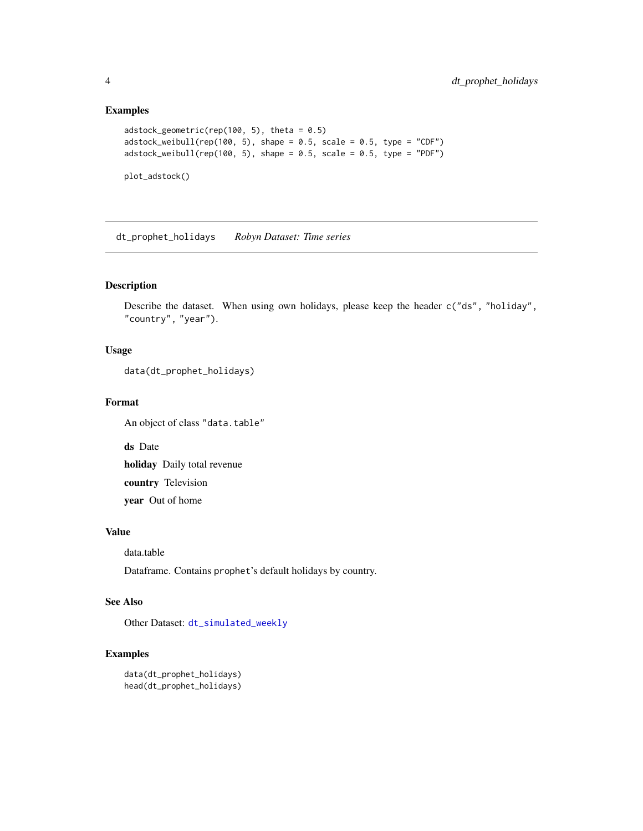#### Examples

```
adstock_geometric(rep(100, 5), theta = 0.5)
adstock\_weibull(rep(100, 5), shape = 0.5, scale = 0.5, type = "CDF")adstock\_weibull(rep(100, 5), shape = 0.5, scale = 0.5, type = "PDF")plot_adstock()
```
<span id="page-3-1"></span>dt\_prophet\_holidays *Robyn Dataset: Time series*

# Description

Describe the dataset. When using own holidays, please keep the header c("ds", "holiday", "country", "year").

#### Usage

```
data(dt_prophet_holidays)
```
#### Format

An object of class "data.table"

ds Date

holiday Daily total revenue

country Television

year Out of home

#### Value

data.table

Dataframe. Contains prophet's default holidays by country.

### See Also

Other Dataset: [dt\\_simulated\\_weekly](#page-4-1)

```
data(dt_prophet_holidays)
head(dt_prophet_holidays)
```
<span id="page-3-0"></span>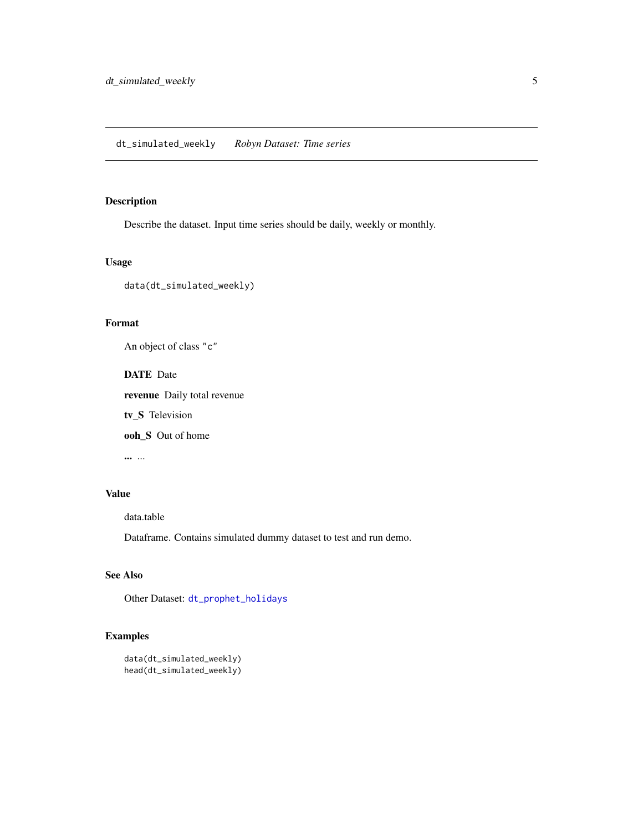<span id="page-4-1"></span><span id="page-4-0"></span>Describe the dataset. Input time series should be daily, weekly or monthly.

#### Usage

```
data(dt_simulated_weekly)
```
# Format

An object of class "c"

DATE Date

revenue Daily total revenue

tv\_S Television

ooh\_S Out of home

... ...

#### Value

data.table

Dataframe. Contains simulated dummy dataset to test and run demo.

#### See Also

Other Dataset: [dt\\_prophet\\_holidays](#page-3-1)

```
data(dt_simulated_weekly)
head(dt_simulated_weekly)
```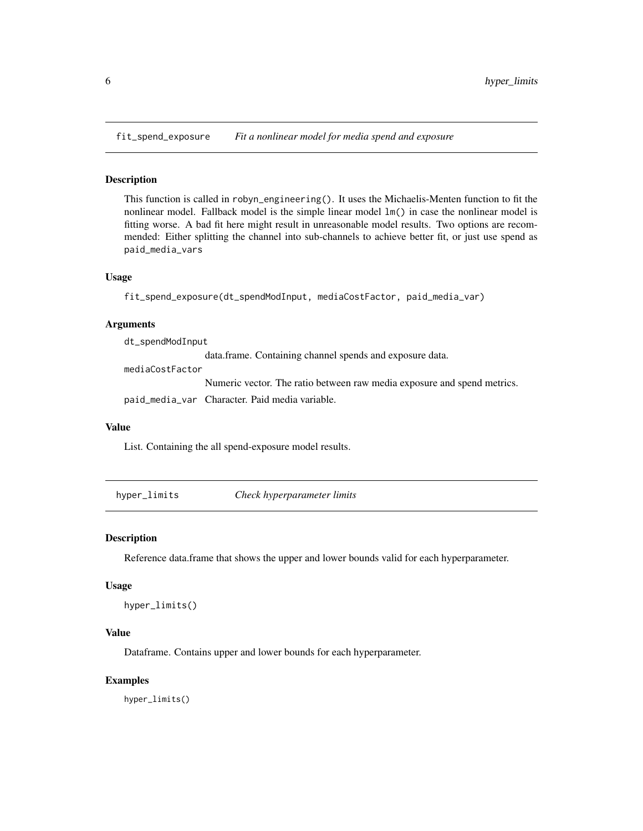<span id="page-5-0"></span>fit\_spend\_exposure *Fit a nonlinear model for media spend and exposure*

#### Description

This function is called in robyn\_engineering(). It uses the Michaelis-Menten function to fit the nonlinear model. Fallback model is the simple linear model lm() in case the nonlinear model is fitting worse. A bad fit here might result in unreasonable model results. Two options are recommended: Either splitting the channel into sub-channels to achieve better fit, or just use spend as paid\_media\_vars

#### Usage

```
fit_spend_exposure(dt_spendModInput, mediaCostFactor, paid_media_var)
```
#### Arguments

dt\_spendModInput

data.frame. Containing channel spends and exposure data.

mediaCostFactor

Numeric vector. The ratio between raw media exposure and spend metrics.

paid\_media\_var Character. Paid media variable.

#### Value

List. Containing the all spend-exposure model results.

hyper\_limits *Check hyperparameter limits*

#### Description

Reference data.frame that shows the upper and lower bounds valid for each hyperparameter.

#### Usage

```
hyper_limits()
```
#### Value

Dataframe. Contains upper and lower bounds for each hyperparameter.

#### Examples

hyper\_limits()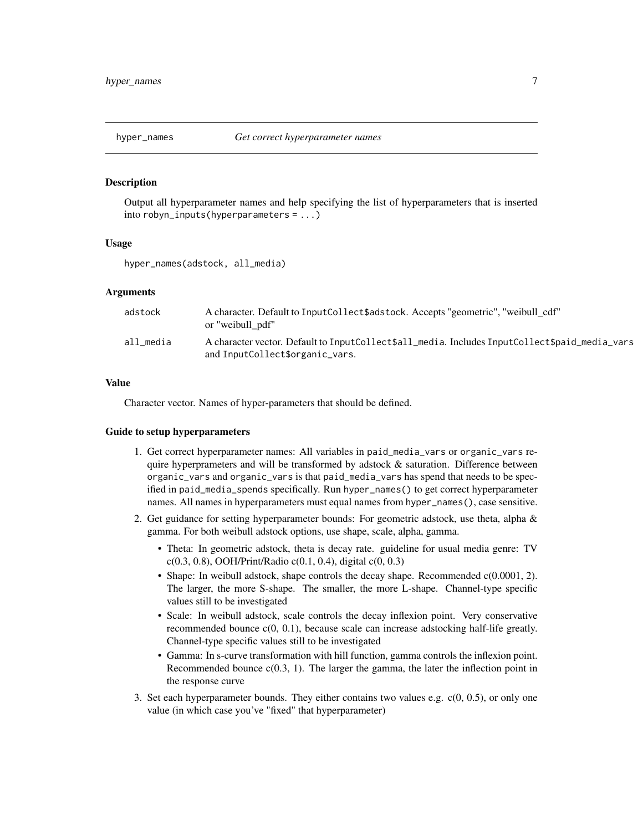<span id="page-6-0"></span>

Output all hyperparameter names and help specifying the list of hyperparameters that is inserted into robyn\_inputs(hyperparameters = ...)

#### Usage

hyper\_names(adstock, all\_media)

#### Arguments

| adstock   | A character. Default to InputCollect \$adstock. Accepts "geometric", "weibull cdf"<br>or "weibull pdf"                            |
|-----------|-----------------------------------------------------------------------------------------------------------------------------------|
| all media | A character vector. Default to InputCollect\$all_media. Includes InputCollect\$paid_media_vars<br>and InputCollect\$organic_vars. |

#### Value

Character vector. Names of hyper-parameters that should be defined.

#### Guide to setup hyperparameters

- 1. Get correct hyperparameter names: All variables in paid\_media\_vars or organic\_vars require hyperprameters and will be transformed by adstock  $\&$  saturation. Difference between organic\_vars and organic\_vars is that paid\_media\_vars has spend that needs to be specified in paid\_media\_spends specifically. Run hyper\_names() to get correct hyperparameter names. All names in hyperparameters must equal names from hyper\_names(), case sensitive.
- 2. Get guidance for setting hyperparameter bounds: For geometric adstock, use theta, alpha & gamma. For both weibull adstock options, use shape, scale, alpha, gamma.
	- Theta: In geometric adstock, theta is decay rate. guideline for usual media genre: TV  $c(0.3, 0.8)$ , OOH/Print/Radio  $c(0.1, 0.4)$ , digital  $c(0, 0.3)$
	- Shape: In weibull adstock, shape controls the decay shape. Recommended c(0.0001, 2). The larger, the more S-shape. The smaller, the more L-shape. Channel-type specific values still to be investigated
	- Scale: In weibull adstock, scale controls the decay inflexion point. Very conservative recommended bounce  $c(0, 0.1)$ , because scale can increase adstocking half-life greatly. Channel-type specific values still to be investigated
	- Gamma: In s-curve transformation with hill function, gamma controls the inflexion point. Recommended bounce  $c(0.3, 1)$ . The larger the gamma, the later the inflection point in the response curve
- 3. Set each hyperparameter bounds. They either contains two values e.g.  $c(0, 0.5)$ , or only one value (in which case you've "fixed" that hyperparameter)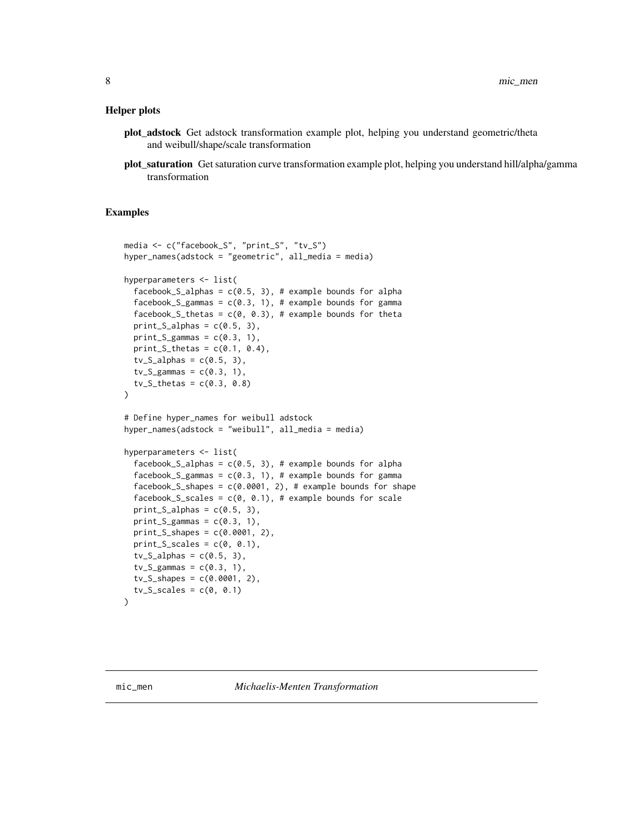#### <span id="page-7-0"></span>Helper plots

- plot\_adstock Get adstock transformation example plot, helping you understand geometric/theta and weibull/shape/scale transformation
- plot\_saturation Get saturation curve transformation example plot, helping you understand hill/alpha/gamma transformation

```
media <- c("facebook_S", "print_S", "tv_S")
hyper_names(adstock = "geometric", all_media = media)
hyperparameters <- list(
 facebook_S_alphas = c(0.5, 3), # example bounds for alpha
 facebook_S_gammas = c(0.3, 1), # example bounds for gamma
 facebook_S_thetas = c(0, 0.3), # example bounds for theta
 print_S_alpha = c(0.5, 3),print_S_gammas = c(0.3, 1),
 print_S_thetas = c(0.1, 0.4),
 tv_S_alpha s = c(0.5, 3),tv_S_{gamma} = c(0.3, 1),tv_S_\text{thetas} = c(0.3, 0.8))
# Define hyper_names for weibull adstock
hyper_names(adstock = "weibull", all_media = media)
hyperparameters <- list(
 facebook_S_alphas = c(0.5, 3), # example bounds for alpha
 facebook_S_gammas = c(0.3, 1), # example bounds for gamma
 facebook_S_shapes = c(0.0001, 2), # example bounds for shape
 facebook_S_scales = c(0, 0.1), # example bounds for scale
 print_S_alphas = c(0.5, 3),
 print_S_gammas = c(0.3, 1),
 print_S_shapes = c(0.0001, 2),
 print_S_scales = c(\theta, \theta.1),
 tv_S_alpha s = c(0.5, 3),tv_S_{gamma} = c(0.3, 1),tv_S_shapes = c(0.0001, 2),
 tv_S<sub>cscales</sub> = c(0, 0.1)\lambda
```
<span id="page-7-1"></span>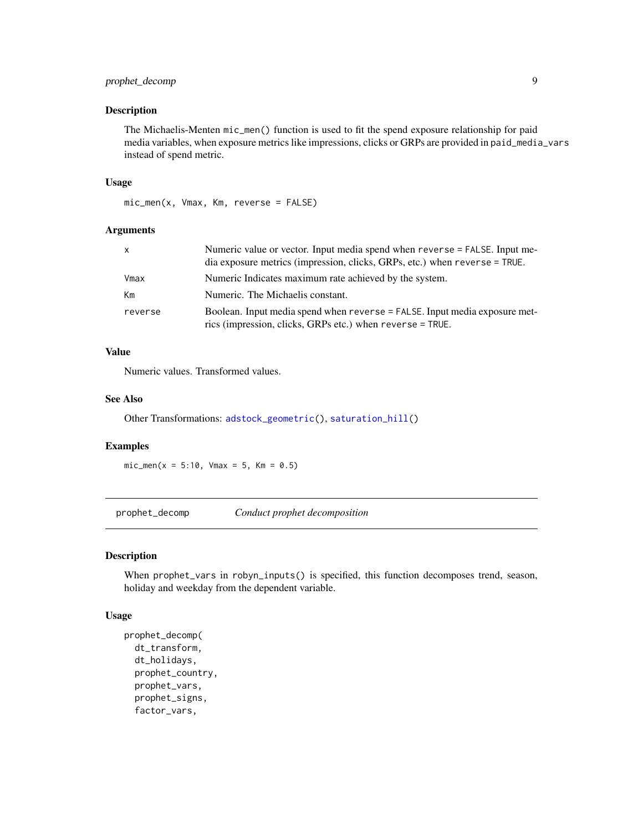# <span id="page-8-0"></span>prophet\_decomp 9

#### Description

The Michaelis-Menten mic\_men() function is used to fit the spend exposure relationship for paid media variables, when exposure metrics like impressions, clicks or GRPs are provided in paid\_media\_vars instead of spend metric.

#### Usage

```
mic_men(x, Vmax, Km, reverse = FALSE)
```
# Arguments

| x       | Numeric value or vector. Input media spend when reverse = FALSE. Input me-<br>dia exposure metrics (impression, clicks, GRPs, etc.) when reverse = TRUE. |
|---------|----------------------------------------------------------------------------------------------------------------------------------------------------------|
| Vmax    | Numeric Indicates maximum rate achieved by the system.                                                                                                   |
| Кm      | Numeric. The Michaelis constant.                                                                                                                         |
| reverse | Boolean. Input media spend when reverse = FALSE. Input media exposure met-<br>rics (impression, clicks, GRPs etc.) when reverse = TRUE.                  |

#### Value

Numeric values. Transformed values.

#### See Also

Other Transformations: [adstock\\_geometric\(](#page-1-1)), [saturation\\_hill\(](#page-31-1))

#### Examples

 $mic\_men(x = 5:10, Vmax = 5, Km = 0.5)$ 

prophet\_decomp *Conduct prophet decomposition*

# Description

When prophet\_vars in robyn\_inputs() is specified, this function decomposes trend, season, holiday and weekday from the dependent variable.

#### Usage

```
prophet_decomp(
  dt_transform,
  dt_holidays,
 prophet_country,
 prophet_vars,
  prophet_signs,
  factor_vars,
```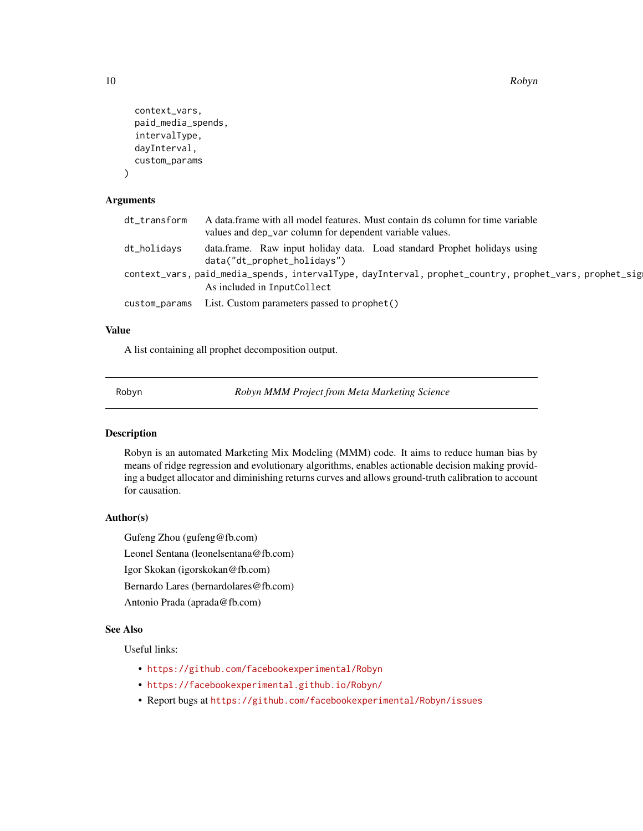10 Robyn

```
context_vars,
  paid_media_spends,
  intervalType,
  dayInterval,
  custom_params
)
```
#### Arguments

| dt_transform | A data frame with all model features. Must contain ds column for time variable<br>values and dep_var column for dependent variable values. |
|--------------|--------------------------------------------------------------------------------------------------------------------------------------------|
| dt_holidavs  | data.frame. Raw input holiday data. Load standard Prophet holidays using<br>data("dt_prophet_holidays")                                    |
|              | context_vars, paid_media_spends, intervalType, dayInterval, prophet_country, prophet_vars, prophet_sig                                     |
|              | As included in InputCollect                                                                                                                |
|              | custom_params List. Custom parameters passed to prophet()                                                                                  |
|              |                                                                                                                                            |

# Value

A list containing all prophet decomposition output.

Robyn *Robyn MMM Project from Meta Marketing Science*

### Description

Robyn is an automated Marketing Mix Modeling (MMM) code. It aims to reduce human bias by means of ridge regression and evolutionary algorithms, enables actionable decision making providing a budget allocator and diminishing returns curves and allows ground-truth calibration to account for causation.

#### Author(s)

Gufeng Zhou (gufeng@fb.com)

Leonel Sentana (leonelsentana@fb.com)

Igor Skokan (igorskokan@fb.com)

Bernardo Lares (bernardolares@fb.com)

Antonio Prada (aprada@fb.com)

# See Also

Useful links:

- <https://github.com/facebookexperimental/Robyn>
- <https://facebookexperimental.github.io/Robyn/>
- Report bugs at <https://github.com/facebookexperimental/Robyn/issues>

<span id="page-9-0"></span>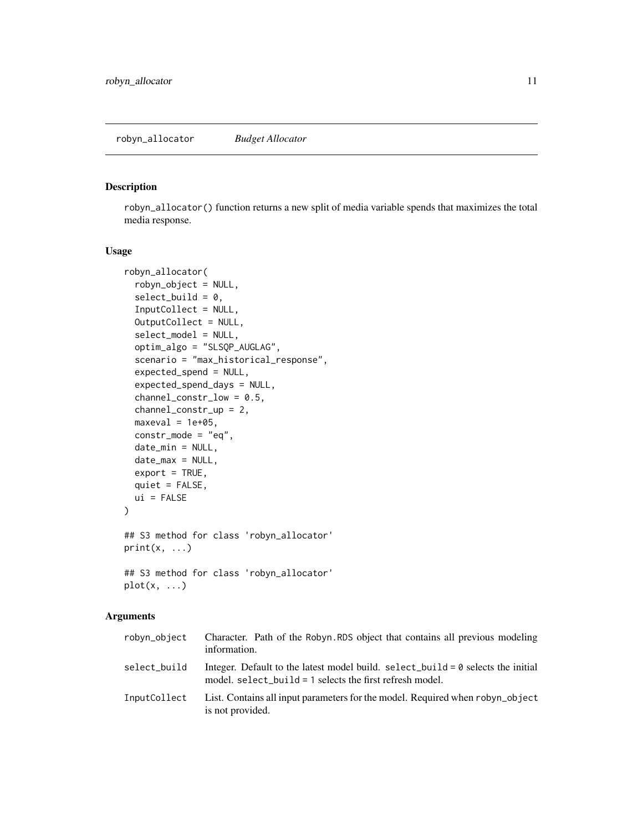<span id="page-10-0"></span>robyn\_allocator() function returns a new split of media variable spends that maximizes the total media response.

#### Usage

```
robyn_allocator(
  robyn_object = NULL,
  select_build = 0,
  InputCollect = NULL,
  OutputCollect = NULL,
  select_model = NULL,
  optim_algo = "SLSQP_AUGLAG",
  scenario = "max_historical_response",
  expected_spend = NULL,
  expected_spend_days = NULL,
  channel_constr_low = 0.5,
  channel_constr_up = 2,
  maxeval = 1e+05,
  constr\_mode = "eq",date_min = NULL,
  date_max = NULL,
  export = TRUE,quiet = FALSE,
  ui = FALSE)
## S3 method for class 'robyn_allocator'
print(x, \ldots)## S3 method for class 'robyn_allocator'
plot(x, \ldots)
```
# Arguments

| robyn_object | Character. Path of the Robyn. RDS object that contains all previous modeling<br>information.                                                      |
|--------------|---------------------------------------------------------------------------------------------------------------------------------------------------|
| select build | Integer. Default to the latest model build. select_build = $0$ selects the initial<br>model. $select\_build = 1$ selects the first refresh model. |
| InputCollect | List. Contains all input parameters for the model. Required when robyn_object<br>is not provided.                                                 |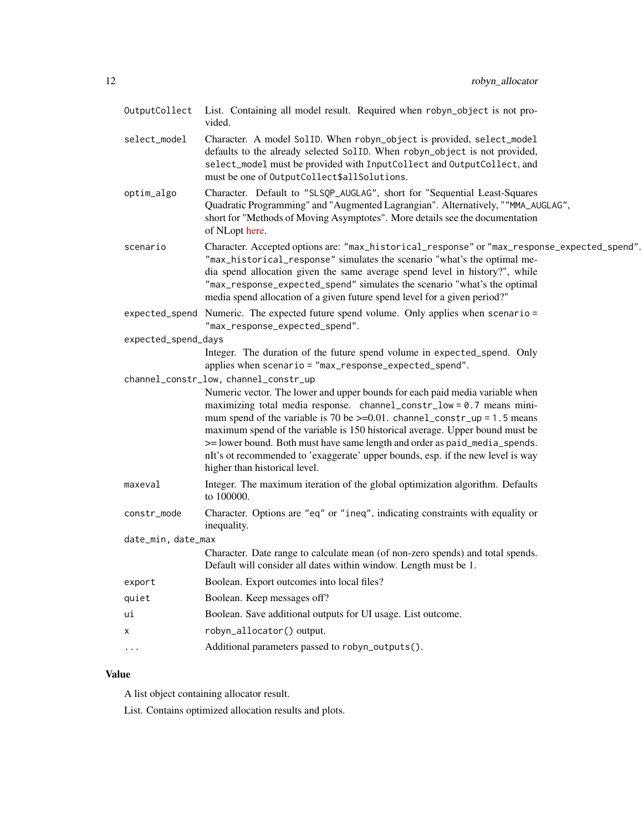| OutputCollect       | List. Containing all model result. Required when robyn_object is not pro-<br>vided.                                                                                                                                                                                                                                                                                                                                                                                                                                    |
|---------------------|------------------------------------------------------------------------------------------------------------------------------------------------------------------------------------------------------------------------------------------------------------------------------------------------------------------------------------------------------------------------------------------------------------------------------------------------------------------------------------------------------------------------|
| select_model        | Character. A model SolID. When robyn_object is provided, select_model<br>defaults to the already selected SolID. When robyn_object is not provided,<br>select_model must be provided with InputCollect and OutputCollect, and<br>must be one of OutputCollect\$allSolutions.                                                                                                                                                                                                                                           |
| optim_algo          | Character. Default to "SLSQP_AUGLAG", short for "Sequential Least-Squares<br>Quadratic Programming" and "Augmented Lagrangian". Alternatively, ""MMA_AUGLAG",<br>short for "Methods of Moving Asymptotes". More details see the documentation<br>of NLopt here.                                                                                                                                                                                                                                                        |
| scenario            | Character. Accepted options are: "max_historical_response" or "max_response_expected_spend".<br>"max_historical_response" simulates the scenario "what's the optimal me-<br>dia spend allocation given the same average spend level in history?", while<br>"max_response_expected_spend" simulates the scenario "what's the optimal<br>media spend allocation of a given future spend level for a given period?"                                                                                                       |
|                     | expected_spend Numeric. The expected future spend volume. Only applies when scenario =<br>"max_response_expected_spend".                                                                                                                                                                                                                                                                                                                                                                                               |
| expected_spend_days |                                                                                                                                                                                                                                                                                                                                                                                                                                                                                                                        |
|                     | Integer. The duration of the future spend volume in expected_spend. Only<br>applies when scenario = "max_response_expected_spend".                                                                                                                                                                                                                                                                                                                                                                                     |
|                     | channel_constr_low, channel_constr_up                                                                                                                                                                                                                                                                                                                                                                                                                                                                                  |
|                     | Numeric vector. The lower and upper bounds for each paid media variable when<br>maximizing total media response. channel_constr_low = 0.7 means mini-<br>mum spend of the variable is 70 be $>=0.01$ . channel_constr_up = 1.5 means<br>maximum spend of the variable is 150 historical average. Upper bound must be<br>>= lower bound. Both must have same length and order as paid_media_spends.<br>nIt's ot recommended to 'exaggerate' upper bounds, esp. if the new level is way<br>higher than historical level. |
| maxeval             | Integer. The maximum iteration of the global optimization algorithm. Defaults<br>to 100000.                                                                                                                                                                                                                                                                                                                                                                                                                            |
| constr_mode         | Character. Options are "eq" or "ineq", indicating constraints with equality or<br>inequality.                                                                                                                                                                                                                                                                                                                                                                                                                          |
| date_min, date_max  |                                                                                                                                                                                                                                                                                                                                                                                                                                                                                                                        |
|                     | Character. Date range to calculate mean (of non-zero spends) and total spends.<br>Default will consider all dates within window. Length must be 1.                                                                                                                                                                                                                                                                                                                                                                     |
| export              | Boolean. Export outcomes into local files?                                                                                                                                                                                                                                                                                                                                                                                                                                                                             |
| quiet               | Boolean. Keep messages off?                                                                                                                                                                                                                                                                                                                                                                                                                                                                                            |
| ui                  | Boolean. Save additional outputs for UI usage. List outcome.                                                                                                                                                                                                                                                                                                                                                                                                                                                           |
| х                   | robyn_allocator() output.                                                                                                                                                                                                                                                                                                                                                                                                                                                                                              |
|                     | Additional parameters passed to robyn_outputs().                                                                                                                                                                                                                                                                                                                                                                                                                                                                       |

# Value

A list object containing allocator result.

List. Contains optimized allocation results and plots.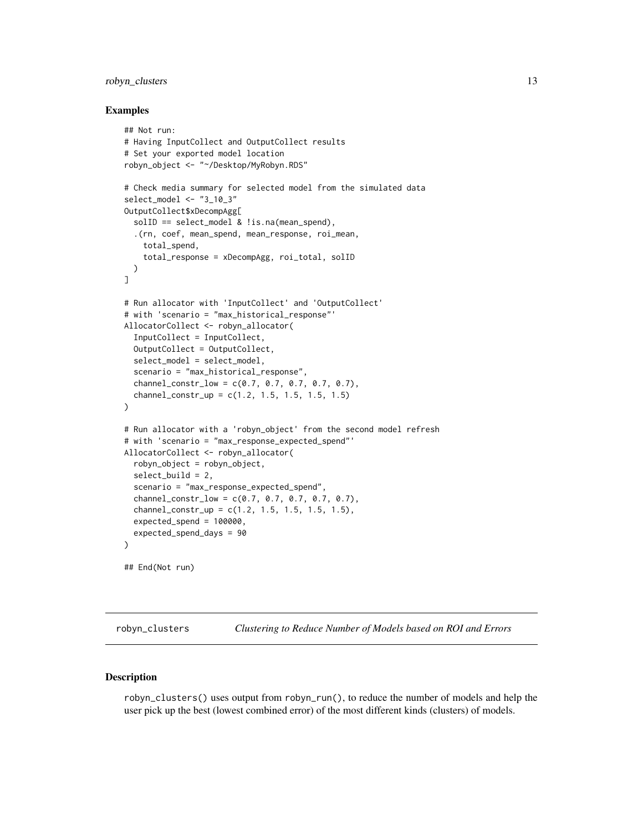#### <span id="page-12-0"></span>robyn\_clusters 13

#### Examples

```
## Not run:
# Having InputCollect and OutputCollect results
# Set your exported model location
robyn_object <- "~/Desktop/MyRobyn.RDS"
# Check media summary for selected model from the simulated data
select_model <- "3_10_3"
OutputCollect$xDecompAgg[
  solID == select_model & !is.na(mean_spend),
  .(rn, coef, mean_spend, mean_response, roi_mean,
    total_spend,
    total_response = xDecompAgg, roi_total, solID
  )
]
# Run allocator with 'InputCollect' and 'OutputCollect'
# with 'scenario = "max_historical_response"'
AllocatorCollect <- robyn_allocator(
  InputCollect = InputCollect,
  OutputCollect = OutputCollect,
  select_model = select_model,
  scenario = "max_historical_response",
  channel\_constr\_low = c(0.7, 0.7, 0.7, 0.7, 0.7),
  channel_constr_up = c(1.2, 1.5, 1.5, 1.5, 1.5)
)
# Run allocator with a 'robyn_object' from the second model refresh
# with 'scenario = "max_response_expected_spend"'
AllocatorCollect <- robyn_allocator(
  robyn_object = robyn_object,
  select_build = 2,
  scenario = "max_response_expected_spend",
  channel_constr_low = c(0.7, 0.7, 0.7, 0.7, 0.7),
  channel\_constr\_up = c(1.2, 1.5, 1.5, 1.5, 1.5),
  expected_spend = 100000,
  expected_spend_days = 90
)
## End(Not run)
```
robyn\_clusters *Clustering to Reduce Number of Models based on ROI and Errors*

#### Description

robyn\_clusters() uses output from robyn\_run(), to reduce the number of models and help the user pick up the best (lowest combined error) of the most different kinds (clusters) of models.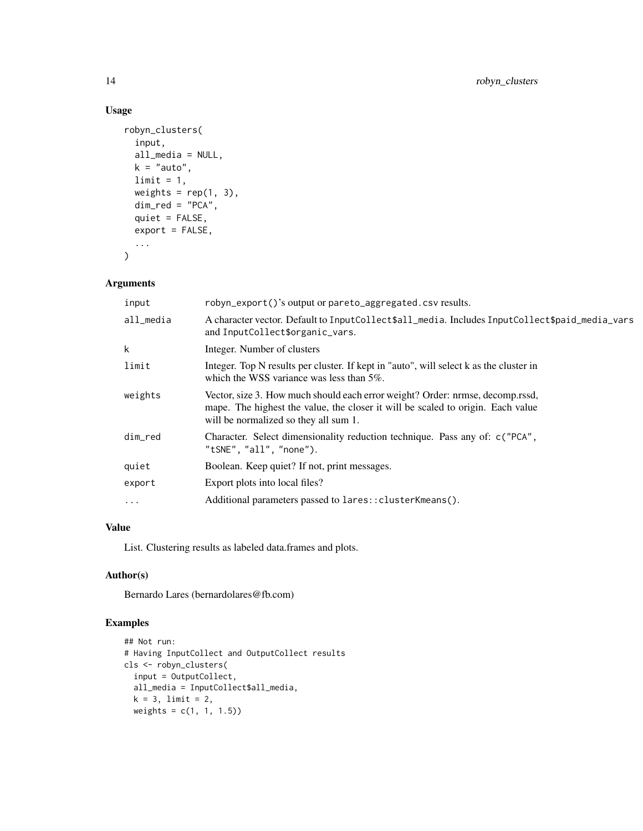# Usage

```
robyn_clusters(
  input,
  all_media = NULL,
 k = "auto",limit = 1,weights = rep(1, 3),
 dim\_red = "PCA",quiet = FALSE,
 export = FALSE,...
\mathcal{L}
```
# Arguments

| input     | robyn_export()'s output or pareto_aggregated.csv results.                                                                                                                                                 |
|-----------|-----------------------------------------------------------------------------------------------------------------------------------------------------------------------------------------------------------|
| all media | A character vector. Default to InputCollect\$all_media. Includes InputCollect\$paid_media_vars<br>and InputCollect\$organic_vars.                                                                         |
| k         | Integer. Number of clusters                                                                                                                                                                               |
| limit     | Integer. Top N results per cluster. If kept in "auto", will select k as the cluster in<br>which the WSS variance was less than 5%.                                                                        |
| weights   | Vector, size 3. How much should each error weight? Order: nrmse, decomp.rssd,<br>mape. The highest the value, the closer it will be scaled to origin. Each value<br>will be normalized so they all sum 1. |
| dim red   | Character. Select dimensionality reduction technique. Pass any of: c("PCA",<br>"tSNE", "all", "none").                                                                                                    |
| quiet     | Boolean. Keep quiet? If not, print messages.                                                                                                                                                              |
| export    | Export plots into local files?                                                                                                                                                                            |
| $\cdots$  | Additional parameters passed to lares:: clusterKmeans().                                                                                                                                                  |

# Value

List. Clustering results as labeled data.frames and plots.

# Author(s)

Bernardo Lares (bernardolares@fb.com)

```
## Not run:
# Having InputCollect and OutputCollect results
cls <- robyn_clusters(
  input = OutputCollect,
  all_media = InputCollect$all_media,
  k = 3, limit = 2,
  weights = c(1, 1, 1.5))
```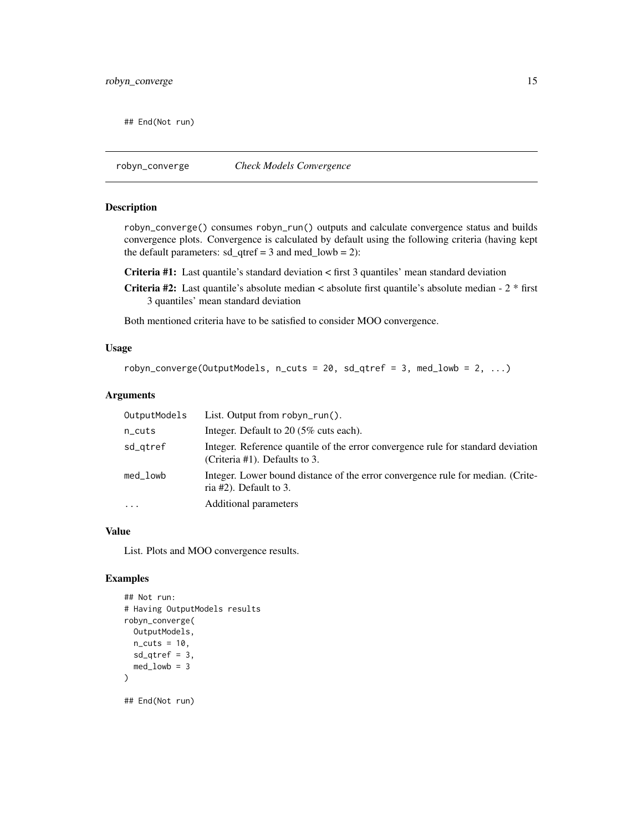<span id="page-14-0"></span>## End(Not run)

robyn\_converge *Check Models Convergence*

#### Description

robyn\_converge() consumes robyn\_run() outputs and calculate convergence status and builds convergence plots. Convergence is calculated by default using the following criteria (having kept the default parameters:  $sd\_qtref = 3$  and med $_lowb = 2$ :

Criteria #1: Last quantile's standard deviation < first 3 quantiles' mean standard deviation

Criteria #2: Last quantile's absolute median < absolute first quantile's absolute median - 2 \* first 3 quantiles' mean standard deviation

Both mentioned criteria have to be satisfied to consider MOO convergence.

#### Usage

```
robyn_converge(OutputModels, n_cuts = 20, sd_qtref = 3, med_lowb = 2, \dots)
```
#### Arguments

| OutputModels | List. Output from $robyn_run()$ .                                                                                 |
|--------------|-------------------------------------------------------------------------------------------------------------------|
| $n$ _cuts    | Integer. Default to 20 (5\% cuts each).                                                                           |
| sd_gtref     | Integer. Reference quantile of the error convergence rule for standard deviation<br>(Criteria #1). Defaults to 3. |
| med_lowb     | Integer. Lower bound distance of the error convergence rule for median. (Crite-<br>ria $#2$ ). Default to 3.      |
| $\ddots$ .   | Additional parameters                                                                                             |

#### Value

List. Plots and MOO convergence results.

```
## Not run:
# Having OutputModels results
robyn_converge(
  OutputModels,
  n<sub>cuts</sub> = 10,
  sd_qtref = 3,
  med\_lowb = 3)
## End(Not run)
```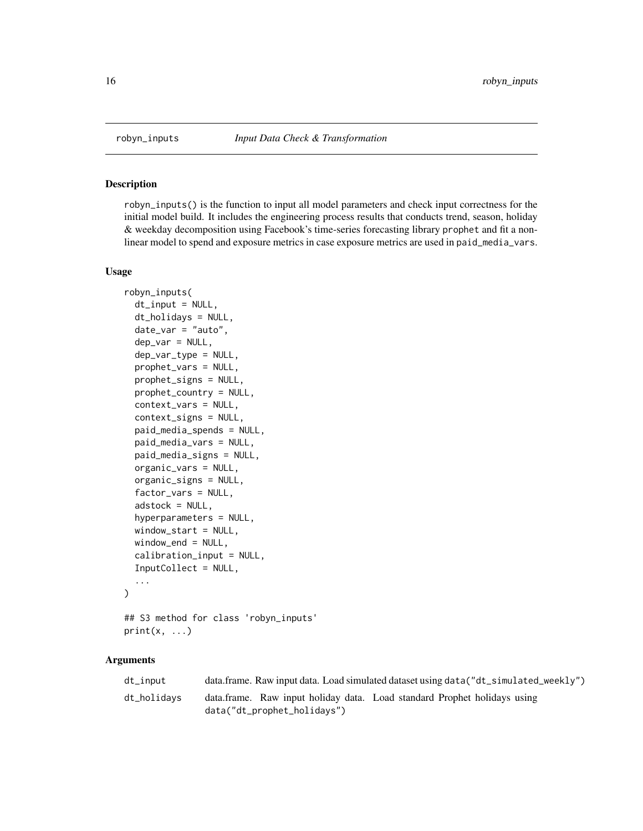<span id="page-15-0"></span>

robyn\_inputs() is the function to input all model parameters and check input correctness for the initial model build. It includes the engineering process results that conducts trend, season, holiday & weekday decomposition using Facebook's time-series forecasting library prophet and fit a nonlinear model to spend and exposure metrics in case exposure metrics are used in paid\_media\_vars.

#### Usage

```
robyn_inputs(
  dt_input = NULL,
  dt_holidays = NULL,
  date_var = "auto",
  dep_var = NULL,
  dep_var_type = NULL,
  prophet_vars = NULL,
 prophet_signs = NULL,
 prophet_country = NULL,
  context_vars = NULL,
  context_signs = NULL,
  paid_media_spends = NULL,
 paid_media_vars = NULL,
  paid_media_signs = NULL,
  organic_vars = NULL,
  organic_signs = NULL,
  factor_vars = NULL,
  adstock = NULL,
  hyperparameters = NULL,
 window_start = NULL,
 window_end = NULL,
  calibration_input = NULL,
  InputCollect = NULL,
  ...
)
## S3 method for class 'robyn_inputs'
```

```
print(x, \ldots)
```
#### Arguments

| dt_input    | data.frame. Raw input data. Load simulated dataset using data("dt_simulated_weekly") |
|-------------|--------------------------------------------------------------------------------------|
| dt_holidavs | data.frame. Raw input holiday data. Load standard Prophet holidays using             |
|             | data("dt_prophet_holidays")                                                          |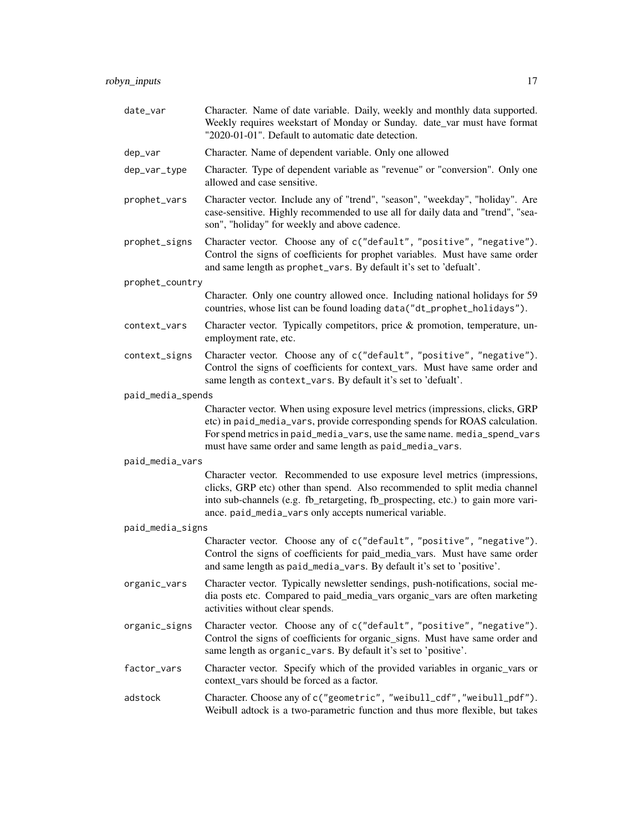| date_var          | Character. Name of date variable. Daily, weekly and monthly data supported.<br>Weekly requires weekstart of Monday or Sunday. date_var must have format<br>"2020-01-01". Default to automatic date detection.                                                                                         |
|-------------------|-------------------------------------------------------------------------------------------------------------------------------------------------------------------------------------------------------------------------------------------------------------------------------------------------------|
| dep_var           | Character. Name of dependent variable. Only one allowed                                                                                                                                                                                                                                               |
| dep_var_type      | Character. Type of dependent variable as "revenue" or "conversion". Only one<br>allowed and case sensitive.                                                                                                                                                                                           |
| prophet_vars      | Character vector. Include any of "trend", "season", "weekday", "holiday". Are<br>case-sensitive. Highly recommended to use all for daily data and "trend", "sea-<br>son", "holiday" for weekly and above cadence.                                                                                     |
| prophet_signs     | Character vector. Choose any of c("default", "positive", "negative").<br>Control the signs of coefficients for prophet variables. Must have same order<br>and same length as prophet_vars. By default it's set to 'defualt'.                                                                          |
| prophet_country   |                                                                                                                                                                                                                                                                                                       |
|                   | Character. Only one country allowed once. Including national holidays for 59<br>countries, whose list can be found loading data ("dt_prophet_holidays").                                                                                                                                              |
| context_vars      | Character vector. Typically competitors, price & promotion, temperature, un-<br>employment rate, etc.                                                                                                                                                                                                 |
| context_signs     | Character vector. Choose any of c("default", "positive", "negative").<br>Control the signs of coefficients for context_vars. Must have same order and<br>same length as context_vars. By default it's set to 'defualt'.                                                                               |
| paid_media_spends |                                                                                                                                                                                                                                                                                                       |
|                   | Character vector. When using exposure level metrics (impressions, clicks, GRP<br>etc) in paid_media_vars, provide corresponding spends for ROAS calculation.<br>For spend metrics in paid_media_vars, use the same name. media_spend_vars<br>must have same order and same length as paid_media_vars. |
| paid_media_vars   |                                                                                                                                                                                                                                                                                                       |
|                   | Character vector. Recommended to use exposure level metrics (impressions,<br>clicks, GRP etc) other than spend. Also recommended to split media channel<br>into sub-channels (e.g. fb_retargeting, fb_prospecting, etc.) to gain more vari-<br>ance. paid_media_vars only accepts numerical variable. |
| paid_media_signs  |                                                                                                                                                                                                                                                                                                       |
|                   | Character vector. Choose any of c("default", "positive", "negative").<br>Control the signs of coefficients for paid_media_vars. Must have same order<br>and same length as paid_media_vars. By default it's set to 'positive'.                                                                        |
| organic_vars      | Character vector. Typically newsletter sendings, push-notifications, social me-<br>dia posts etc. Compared to paid_media_vars organic_vars are often marketing<br>activities without clear spends.                                                                                                    |
| organic_signs     | Character vector. Choose any of c("default", "positive", "negative").<br>Control the signs of coefficients for organic_signs. Must have same order and<br>same length as organic_vars. By default it's set to 'positive'.                                                                             |
| factor_vars       | Character vector. Specify which of the provided variables in organic_vars or<br>context_vars should be forced as a factor.                                                                                                                                                                            |
| adstock           | Character. Choose any of c("geometric", "weibull_cdf", "weibull_pdf").<br>Weibull adtock is a two-parametric function and thus more flexible, but takes                                                                                                                                               |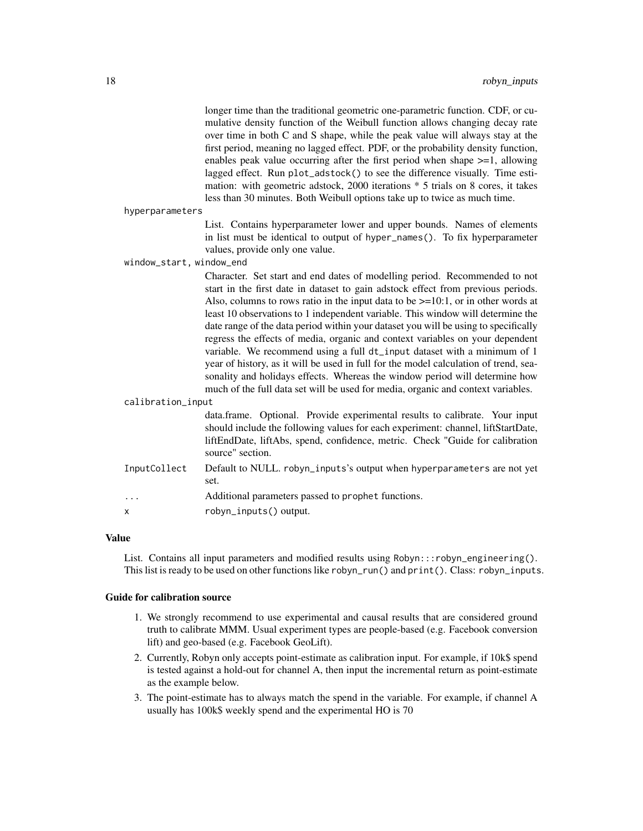longer time than the traditional geometric one-parametric function. CDF, or cumulative density function of the Weibull function allows changing decay rate over time in both C and S shape, while the peak value will always stay at the first period, meaning no lagged effect. PDF, or the probability density function, enables peak value occurring after the first period when shape >=1, allowing lagged effect. Run plot\_adstock() to see the difference visually. Time estimation: with geometric adstock, 2000 iterations \* 5 trials on 8 cores, it takes less than 30 minutes. Both Weibull options take up to twice as much time.

hyperparameters

List. Contains hyperparameter lower and upper bounds. Names of elements in list must be identical to output of hyper\_names(). To fix hyperparameter values, provide only one value.

window\_start, window\_end

Character. Set start and end dates of modelling period. Recommended to not start in the first date in dataset to gain adstock effect from previous periods. Also, columns to rows ratio in the input data to be  $\geq$ =10:1, or in other words at least 10 observations to 1 independent variable. This window will determine the date range of the data period within your dataset you will be using to specifically regress the effects of media, organic and context variables on your dependent variable. We recommend using a full dt\_input dataset with a minimum of 1 year of history, as it will be used in full for the model calculation of trend, seasonality and holidays effects. Whereas the window period will determine how much of the full data set will be used for media, organic and context variables.

calibration\_input

data.frame. Optional. Provide experimental results to calibrate. Your input should include the following values for each experiment: channel, liftStartDate, liftEndDate, liftAbs, spend, confidence, metric. Check "Guide for calibration source" section.

- InputCollect Default to NULL. robyn\_inputs's output when hyperparameters are not yet set.
- ... Additional parameters passed to prophet functions.

x robyn\_inputs() output.

#### Value

List. Contains all input parameters and modified results using Robyn:::robyn\_engineering(). This list is ready to be used on other functions like robyn\_run() and print(). Class: robyn\_inputs.

#### Guide for calibration source

- 1. We strongly recommend to use experimental and causal results that are considered ground truth to calibrate MMM. Usual experiment types are people-based (e.g. Facebook conversion lift) and geo-based (e.g. Facebook GeoLift).
- 2. Currently, Robyn only accepts point-estimate as calibration input. For example, if 10k\$ spend is tested against a hold-out for channel A, then input the incremental return as point-estimate as the example below.
- 3. The point-estimate has to always match the spend in the variable. For example, if channel A usually has 100k\$ weekly spend and the experimental HO is 70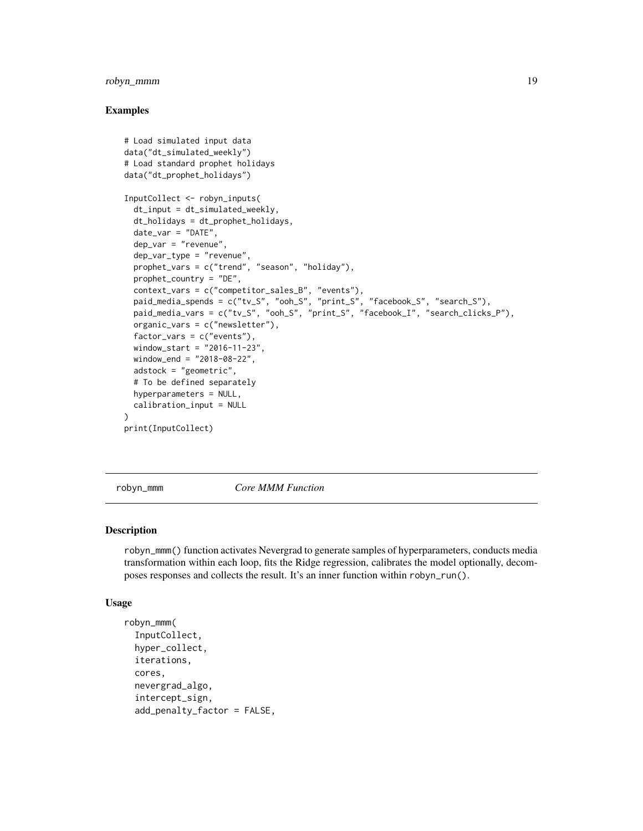#### <span id="page-18-0"></span>robyn\_mmm 19

#### Examples

```
# Load simulated input data
data("dt_simulated_weekly")
# Load standard prophet holidays
data("dt_prophet_holidays")
InputCollect <- robyn_inputs(
 dt_input = dt_simulated_weekly,
 dt_holidays = dt_prophet_holidays,
 date_var = "DATE",
 dep_var = "revenue",
 dep_var_type = "revenue",
 prophet_vars = c("trend", "season", "holiday"),
 prophet_country = "DE",
 context_vars = c("competitor_sales_B", "events"),
 paid_media_spends = c("tv_S", "ooh_S", "print_S", "facebook_S", "search_S"),
 paid_media_vars = c("tv_S", "ooh_S", "print_S", "facebook_I", "search_clicks_P"),
 organic_vars = c("newsletter"),
 factor_vars = c("events"),
 window_start = "2016-11-23",
 window_end = "2018-08-22",
 adstock = "geometric",
 # To be defined separately
 hyperparameters = NULL,
 calibration_input = NULL
\lambdaprint(InputCollect)
```
robyn\_mmm *Core MMM Function*

#### Description

robyn\_mmm() function activates Nevergrad to generate samples of hyperparameters, conducts media transformation within each loop, fits the Ridge regression, calibrates the model optionally, decomposes responses and collects the result. It's an inner function within robyn\_run().

#### Usage

```
robyn_mmm(
  InputCollect,
 hyper_collect,
  iterations,
 cores,
 nevergrad_algo,
  intercept_sign,
  add_penalty_factor = FALSE,
```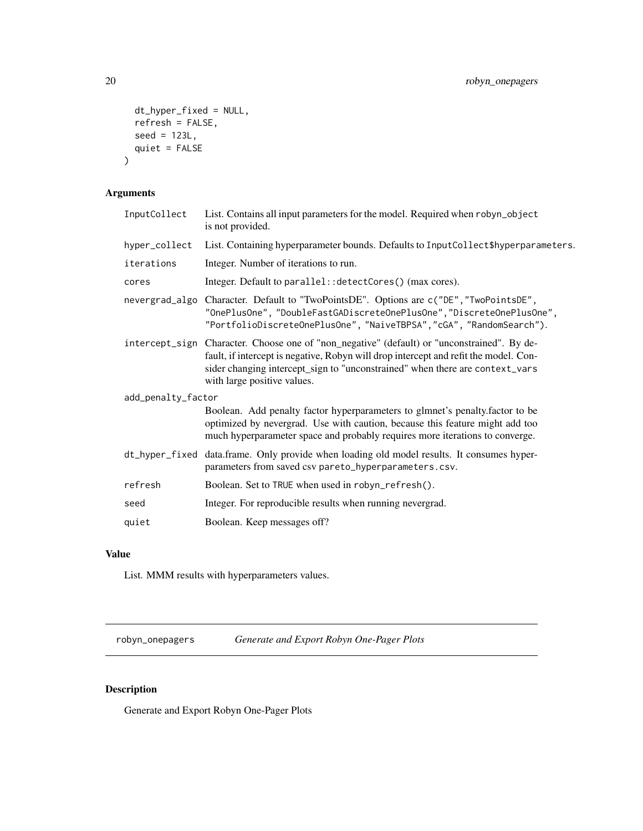```
dt_hyper_fixed = NULL,
 refresh = FALSE,
 seed = 123L,
 quiet = FALSE
)
```
# Arguments

| InputCollect       | List. Contains all input parameters for the model. Required when robyn_object<br>is not provided.                                                                                                                                                                                                  |
|--------------------|----------------------------------------------------------------------------------------------------------------------------------------------------------------------------------------------------------------------------------------------------------------------------------------------------|
| hyper_collect      | List. Containing hyperparameter bounds. Defaults to InputCollect\$hyperparameters.                                                                                                                                                                                                                 |
| iterations         | Integer. Number of iterations to run.                                                                                                                                                                                                                                                              |
| cores              | Integer. Default to parallel: : detectCores() (max cores).                                                                                                                                                                                                                                         |
|                    | nevergrad_algo Character. Default to "TwoPointsDE". Options are c("DE", "TwoPointsDE",<br>"OnePlusOne", "DoubleFastGADiscreteOnePlusOne", "DiscreteOnePlusOne",<br>"PortfolioDiscreteOnePlusOne", "NaiveTBPSA", "cGA", "RandomSearch").                                                            |
|                    | intercept_sign Character. Choose one of "non_negative" (default) or "unconstrained". By de-<br>fault, if intercept is negative, Robyn will drop intercept and refit the model. Con-<br>sider changing intercept_sign to "unconstrained" when there are context_vars<br>with large positive values. |
| add_penalty_factor |                                                                                                                                                                                                                                                                                                    |
|                    | Boolean. Add penalty factor hyperparameters to glmnet's penalty. factor to be<br>optimized by nevergrad. Use with caution, because this feature might add too<br>much hyperparameter space and probably requires more iterations to converge.                                                      |
|                    | dt_hyper_fixed data.frame. Only provide when loading old model results. It consumes hyper-<br>parameters from saved csv pareto_hyperparameters.csv.                                                                                                                                                |
| refresh            | Boolean. Set to TRUE when used in robyn_refresh().                                                                                                                                                                                                                                                 |
| seed               | Integer. For reproducible results when running nevergrad.                                                                                                                                                                                                                                          |
| quiet              | Boolean. Keep messages off?                                                                                                                                                                                                                                                                        |

# Value

List. MMM results with hyperparameters values.

robyn\_onepagers *Generate and Export Robyn One-Pager Plots*

# Description

Generate and Export Robyn One-Pager Plots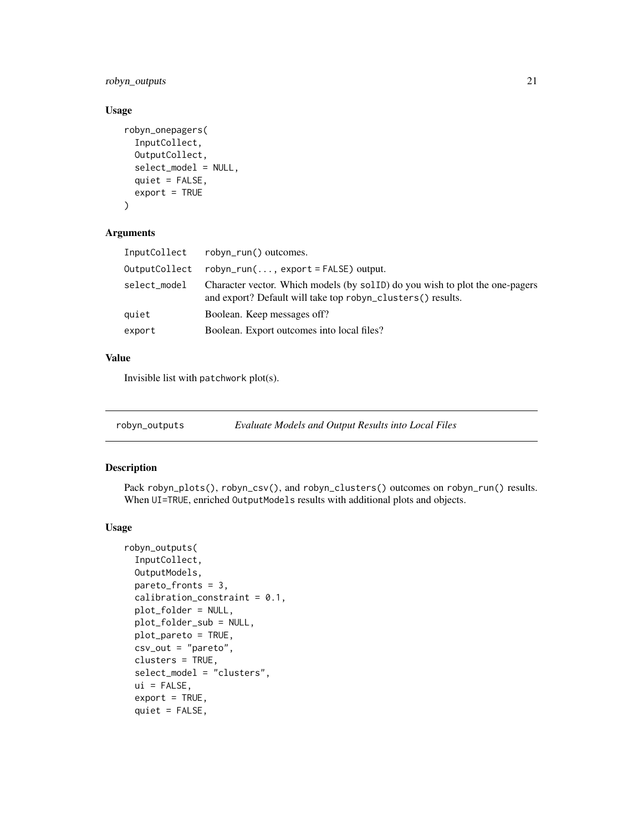<span id="page-20-0"></span>robyn\_outputs 21

#### Usage

```
robyn_onepagers(
  InputCollect,
 OutputCollect,
  select_model = NULL,
 quiet = FALSE,
 export = TRUE)
```
#### Arguments

| InputCollect  | robyn_run() outcomes.                                                                                                                       |
|---------------|---------------------------------------------------------------------------------------------------------------------------------------------|
| OutputCollect | $robyn_run(, export = FALSE) output.$                                                                                                       |
| select_model  | Character vector. Which models (by sollD) do you wish to plot the one-pagers<br>and export? Default will take top robyn_clusters() results. |
| quiet         | Boolean. Keep messages off?                                                                                                                 |
| export        | Boolean. Export outcomes into local files?                                                                                                  |
|               |                                                                                                                                             |

# Value

Invisible list with patchwork plot(s).

robyn\_outputs *Evaluate Models and Output Results into Local Files*

#### Description

Pack robyn\_plots(), robyn\_csv(), and robyn\_clusters() outcomes on robyn\_run() results. When UI=TRUE, enriched OutputModels results with additional plots and objects.

#### Usage

```
robyn_outputs(
  InputCollect,
 OutputModels,
 pareto_fronts = 3,
  calibration_constraint = 0.1,
 plot_folder = NULL,
 plot_folder_sub = NULL,
 plot_pareto = TRUE,
  \text{csv\_out} = " \text{pareto}",clusters = TRUE,
  select_model = "clusters",
 ui = FALSE,export = TRUE,quiet = FALSE,
```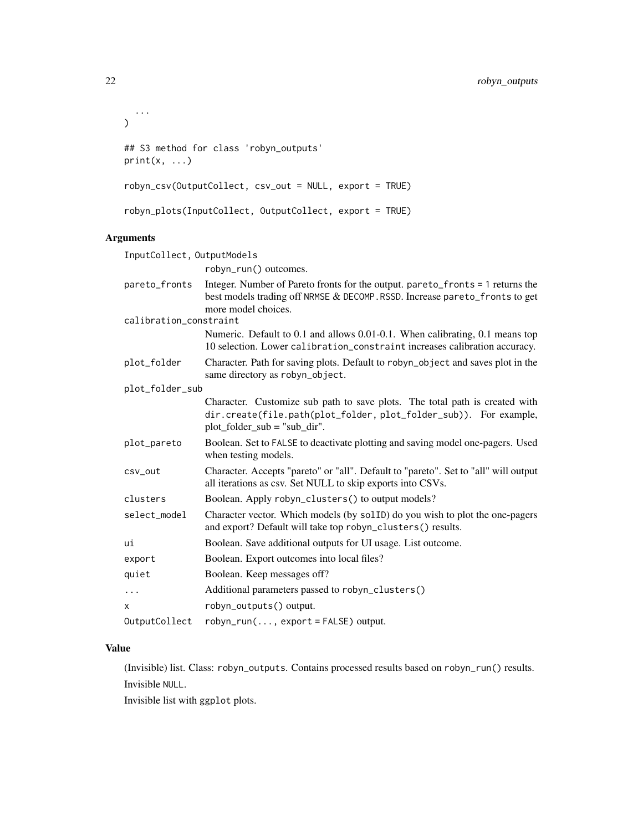```
...
\mathcal{L}## S3 method for class 'robyn_outputs'
print(x, \ldots)robyn_csv(OutputCollect, csv_out = NULL, export = TRUE)
robyn_plots(InputCollect, OutputCollect, export = TRUE)
```
# Arguments

| InputCollect, OutputModels |                                                                                                                                                                                      |
|----------------------------|--------------------------------------------------------------------------------------------------------------------------------------------------------------------------------------|
|                            | robyn_run() outcomes.                                                                                                                                                                |
| pareto_fronts              | Integer. Number of Pareto fronts for the output. pareto_fronts = 1 returns the<br>best models trading off NRMSE & DECOMP. RSSD. Increase pareto_fronts to get<br>more model choices. |
| calibration_constraint     |                                                                                                                                                                                      |
|                            | Numeric. Default to 0.1 and allows 0.01-0.1. When calibrating, 0.1 means top<br>10 selection. Lower calibration_constraint increases calibration accuracy.                           |
| plot_folder                | Character. Path for saving plots. Default to robyn_object and saves plot in the<br>same directory as robyn_object.                                                                   |
| plot_folder_sub            |                                                                                                                                                                                      |
|                            | Character. Customize sub path to save plots. The total path is created with<br>dir.create(file.path(plot_folder, plot_folder_sub)). For example,<br>$plot_folder_sub = "sub_dir".$   |
| plot_pareto                | Boolean. Set to FALSE to deactivate plotting and saving model one-pagers. Used<br>when testing models.                                                                               |
| csv_out                    | Character. Accepts "pareto" or "all". Default to "pareto". Set to "all" will output<br>all iterations as csv. Set NULL to skip exports into CSVs.                                    |
| clusters                   | Boolean. Apply robyn_clusters() to output models?                                                                                                                                    |
| select_model               | Character vector. Which models (by solID) do you wish to plot the one-pagers<br>and export? Default will take top robyn_clusters() results.                                          |
| ui                         | Boolean. Save additional outputs for UI usage. List outcome.                                                                                                                         |
| export                     | Boolean. Export outcomes into local files?                                                                                                                                           |
| quiet                      | Boolean. Keep messages off?                                                                                                                                                          |
| $\ddots$                   | Additional parameters passed to robyn_clusters()                                                                                                                                     |
| x                          | robyn_outputs() output.                                                                                                                                                              |
| OutputCollect              | $robyn_run(, export = FALSE) output.$                                                                                                                                                |

#### Value

(Invisible) list. Class: robyn\_outputs. Contains processed results based on robyn\_run() results. Invisible NULL.

Invisible list with ggplot plots.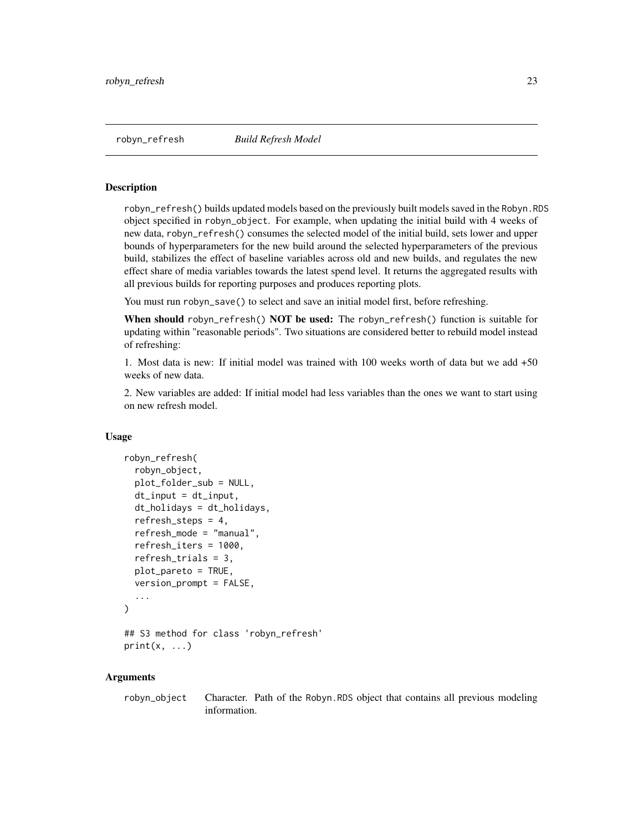<span id="page-22-0"></span>

robyn\_refresh() builds updated models based on the previously built models saved in the Robyn.RDS object specified in robyn\_object. For example, when updating the initial build with 4 weeks of new data, robyn\_refresh() consumes the selected model of the initial build, sets lower and upper bounds of hyperparameters for the new build around the selected hyperparameters of the previous build, stabilizes the effect of baseline variables across old and new builds, and regulates the new effect share of media variables towards the latest spend level. It returns the aggregated results with all previous builds for reporting purposes and produces reporting plots.

You must run robyn\_save() to select and save an initial model first, before refreshing.

When should robyn\_refresh() NOT be used: The robyn\_refresh() function is suitable for updating within "reasonable periods". Two situations are considered better to rebuild model instead of refreshing:

1. Most data is new: If initial model was trained with 100 weeks worth of data but we add +50 weeks of new data.

2. New variables are added: If initial model had less variables than the ones we want to start using on new refresh model.

#### Usage

```
robyn_refresh(
  robyn_object,
  plot_folder_sub = NULL,
  dt_input = dt_input,
  dt_holidays = dt_holidays,
  refresh_steps = 4,
  refresh_mode = "manual",
  refresh_iters = 1000,
  refresh_trials = 3,
  plot_pareto = TRUE,
  version_prompt = FALSE,
  ...
)
## S3 method for class 'robyn_refresh'
print(x, \ldots)
```
#### Arguments

robyn\_object Character. Path of the Robyn.RDS object that contains all previous modeling information.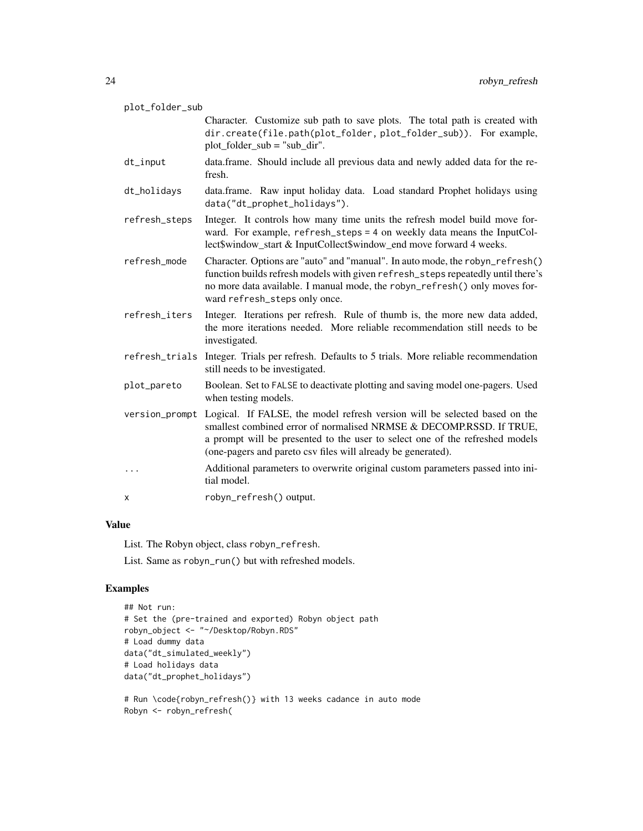| plot_folder_sub |                                                                                                                                                                                                                                                                                                   |
|-----------------|---------------------------------------------------------------------------------------------------------------------------------------------------------------------------------------------------------------------------------------------------------------------------------------------------|
|                 | Character. Customize sub path to save plots. The total path is created with<br>dir.create(file.path(plot_folder, plot_folder_sub)). For example,<br>$plot_folder_sub = "sub_dir".$                                                                                                                |
| $dt$ _input     | data.frame. Should include all previous data and newly added data for the re-<br>fresh.                                                                                                                                                                                                           |
| dt_holidays     | data.frame. Raw input holiday data. Load standard Prophet holidays using<br>data("dt_prophet_holidays").                                                                                                                                                                                          |
| refresh_steps   | Integer. It controls how many time units the refresh model build move for-<br>ward. For example, refresh_steps = 4 on weekly data means the InputCol-<br>lect\$window_start & InputCollect\$window_end move forward 4 weeks.                                                                      |
| refresh_mode    | Character. Options are "auto" and "manual". In auto mode, the robyn_refresh()<br>function builds refresh models with given refresh_steps repeatedly until there's<br>no more data available. I manual mode, the robyn_refresh() only moves for-<br>ward refresh_steps only once.                  |
| refresh_iters   | Integer. Iterations per refresh. Rule of thumb is, the more new data added,<br>the more iterations needed. More reliable recommendation still needs to be<br>investigated.                                                                                                                        |
|                 | refresh_trials Integer. Trials per refresh. Defaults to 5 trials. More reliable recommendation<br>still needs to be investigated.                                                                                                                                                                 |
| plot_pareto     | Boolean. Set to FALSE to deactivate plotting and saving model one-pagers. Used<br>when testing models.                                                                                                                                                                                            |
| version_prompt  | Logical. If FALSE, the model refresh version will be selected based on the<br>smallest combined error of normalised NRMSE & DECOMP.RSSD. If TRUE,<br>a prompt will be presented to the user to select one of the refreshed models<br>(one-pagers and pareto csv files will already be generated). |
| $\cdots$        | Additional parameters to overwrite original custom parameters passed into ini-<br>tial model.                                                                                                                                                                                                     |
| х               | robyn_refresh() output.                                                                                                                                                                                                                                                                           |

# Value

List. The Robyn object, class robyn\_refresh.

List. Same as robyn\_run() but with refreshed models.

```
## Not run:
# Set the (pre-trained and exported) Robyn object path
robyn_object <- "~/Desktop/Robyn.RDS"
# Load dummy data
data("dt_simulated_weekly")
# Load holidays data
data("dt_prophet_holidays")
```

```
# Run \code{robyn_refresh()} with 13 weeks cadance in auto mode
Robyn <- robyn_refresh(
```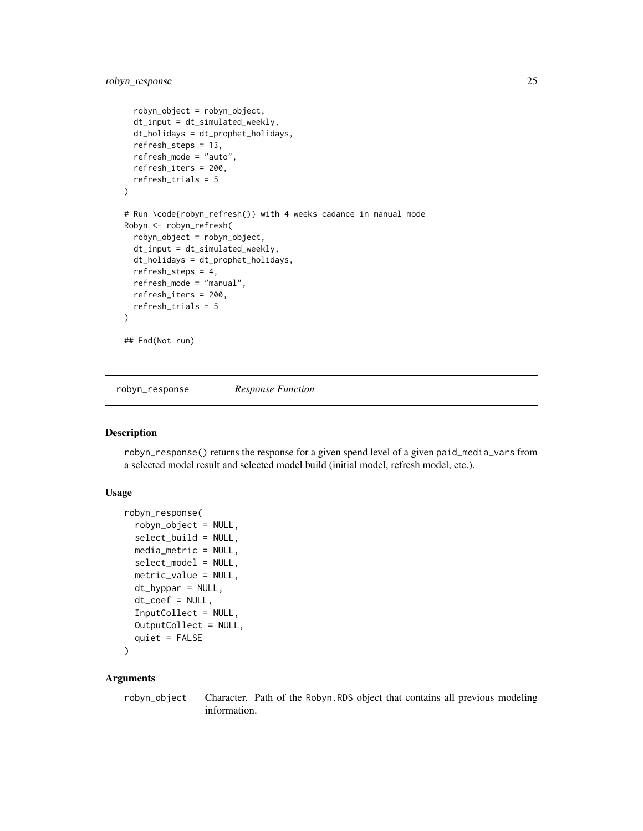```
robyn_object = robyn_object,
 dt_input = dt_simulated_weekly,
 dt_holidays = dt_prophet_holidays,
 refresh_steps = 13,
 refresh_mode = "auto",
 refresh_iters = 200,
 refresh_trials = 5
\mathcal{L}# Run \code{robyn_refresh()} with 4 weeks cadance in manual mode
Robyn <- robyn_refresh(
 robyn_object = robyn_object,
 dt_input = dt_simulated_weekly,
 dt_holidays = dt_prophet_holidays,
 refresh_steps = 4,
 refresh_mode = "manual",
 refresh_iters = 200,
 refresh_trials = 5
)
## End(Not run)
```
robyn\_response *Response Function*

### Description

robyn\_response() returns the response for a given spend level of a given paid\_media\_vars from a selected model result and selected model build (initial model, refresh model, etc.).

#### Usage

```
robyn_response(
  robyn_object = NULL,
  select_build = NULL,
 media_metric = NULL,
  select_model = NULL,
 metric_value = NULL,
  dt_hyppar = NULL,
  dt\_coeff = NULL,InputCollect = NULL,
  OutputCollect = NULL,
  quiet = FALSE\lambda
```
#### Arguments

robyn\_object Character. Path of the Robyn.RDS object that contains all previous modeling information.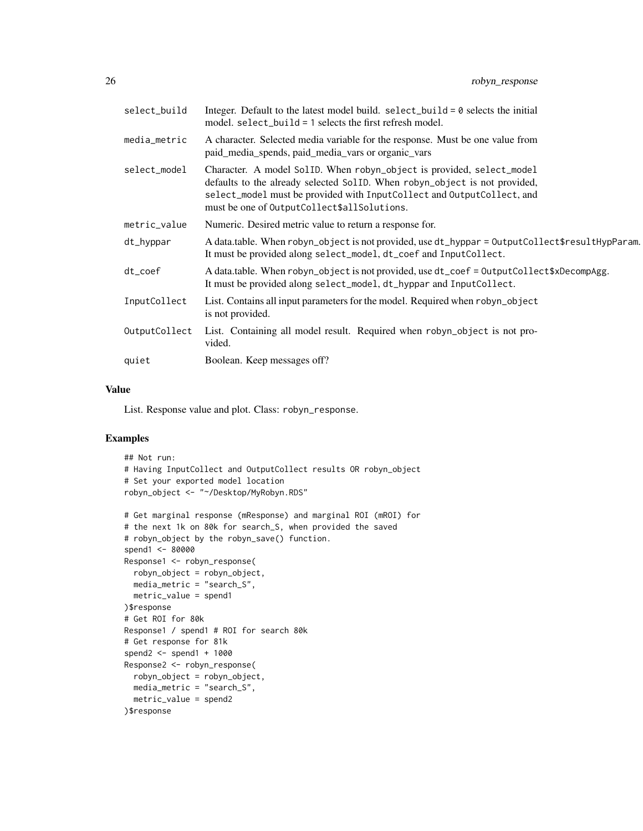| select_build  | Integer. Default to the latest model build. select_build = $0$ selects the initial<br>model. $select\_build = 1$ selects the first refresh model.                                                                                                                            |
|---------------|------------------------------------------------------------------------------------------------------------------------------------------------------------------------------------------------------------------------------------------------------------------------------|
| media_metric  | A character. Selected media variable for the response. Must be one value from<br>paid_media_spends, paid_media_vars or organic_vars                                                                                                                                          |
| select_model  | Character. A model SolID. When robyn_object is provided, select_model<br>defaults to the already selected SolID. When robyn_object is not provided,<br>select_model must be provided with InputCollect and OutputCollect, and<br>must be one of OutputCollect\$allSolutions. |
| metric_value  | Numeric. Desired metric value to return a response for.                                                                                                                                                                                                                      |
| dt_hyppar     | A data.table. When robyn_object is not provided, use dt_hyppar = 0utputCollect\$resultHypParam.<br>It must be provided along select_model, dt_coef and InputCollect.                                                                                                         |
| $dt\_{code}$  | A data.table. When robyn_object is not provided, use dt_coef = 0utputCollect\$xDecompAgg.<br>It must be provided along select_model, dt_hyppar and InputCollect.                                                                                                             |
| InputCollect  | List. Contains all input parameters for the model. Required when robyn_object<br>is not provided.                                                                                                                                                                            |
| OutputCollect | List. Containing all model result. Required when robyn_object is not pro-<br>vided.                                                                                                                                                                                          |
| quiet         | Boolean. Keep messages off?                                                                                                                                                                                                                                                  |

#### Value

List. Response value and plot. Class: robyn\_response.

```
## Not run:
# Having InputCollect and OutputCollect results OR robyn_object
# Set your exported model location
robyn_object <- "~/Desktop/MyRobyn.RDS"
# Get marginal response (mResponse) and marginal ROI (mROI) for
# the next 1k on 80k for search_S, when provided the saved
# robyn_object by the robyn_save() function.
spend1 <- 80000
Response1 <- robyn_response(
 robyn_object = robyn_object,
 media_metric = "search_S",
 metric_value = spend1
)$response
# Get ROI for 80k
Response1 / spend1 # ROI for search 80k
# Get response for 81k
spend2 <- spend1 + 1000
Response2 <- robyn_response(
  robyn_object = robyn_object,
 media_metric = "search_S",
  metric_value = spend2
)$response
```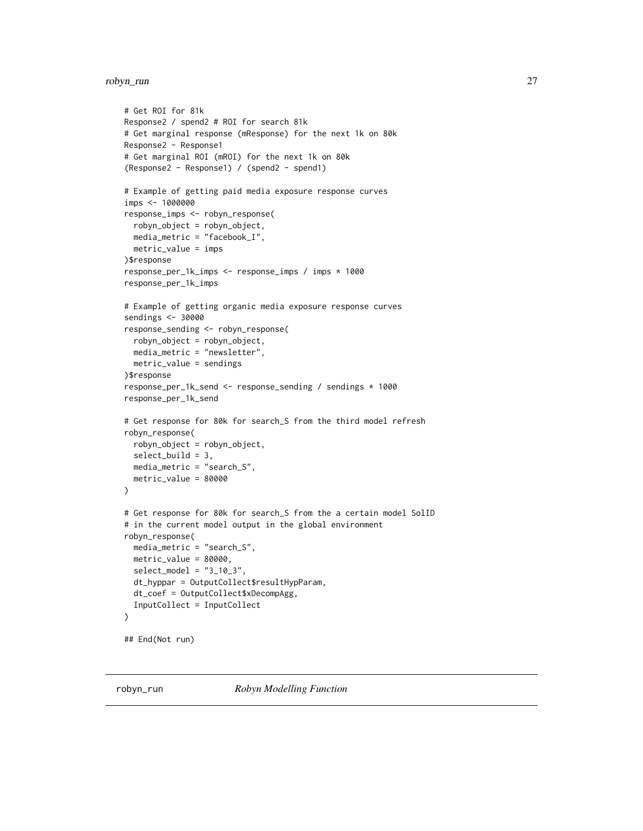# <span id="page-26-0"></span>robyn\_run 27

```
# Get ROI for 81k
Response2 / spend2 # ROI for search 81k
# Get marginal response (mResponse) for the next 1k on 80k
Response2 - Response1
# Get marginal ROI (mROI) for the next 1k on 80k
(Response2 - Response1) / (spend2 - spend1)
# Example of getting paid media exposure response curves
imps <- 1000000
response_imps <- robyn_response(
  robyn_object = robyn_object,
  media_metric = "facebook_I",
  metric_value = imps
)$response
response_per_1k_imps <- response_imps / imps * 1000
response_per_1k_imps
# Example of getting organic media exposure response curves
sendings <- 30000
response_sending <- robyn_response(
  robyn_object = robyn_object,
  media_metric = "newsletter",
  metric_value = sendings
)$response
response_per_1k_send <- response_sending / sendings * 1000
response_per_1k_send
# Get response for 80k for search_S from the third model refresh
robyn_response(
  robyn_object = robyn_object,
  select_build = 3,
  media_metric = "search_S",
  metric_value = 80000
)
# Get response for 80k for search_S from the a certain model SolID
# in the current model output in the global environment
robyn_response(
  media_metric = "search_S",
  metric_value = 80000,
  select_model = "3_10_3"dt_hyppar = OutputCollect$resultHypParam,
  dt_coef = OutputCollect$xDecompAgg,
  InputCollect = InputCollect
)
## End(Not run)
```
robyn\_run *Robyn Modelling Function*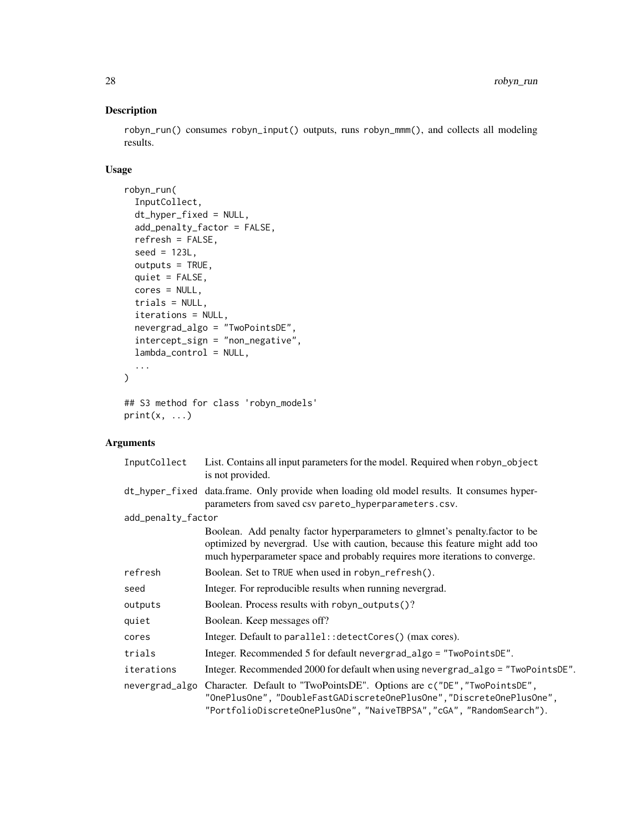robyn\_run() consumes robyn\_input() outputs, runs robyn\_mmm(), and collects all modeling results.

# Usage

```
robyn_run(
  InputCollect,
  dt_hyper_fixed = NULL,
  add_penalty_factor = FALSE,
  refresh = FALSE,
  seed = 123L,
 outputs = TRUE,
 quiet = FALSE,
 cores = NULL,
 trials = NULL,
  iterations = NULL,
 nevergrad_algo = "TwoPointsDE",
  intercept_sign = "non_negative",
 lambda_control = NULL,
  ...
\mathcal{L}## S3 method for class 'robyn_models'
```

```
print(x, \ldots)
```
# Arguments

| InputCollect       | List. Contains all input parameters for the model. Required when robyn_object<br>is not provided.                                                                                                                                            |
|--------------------|----------------------------------------------------------------------------------------------------------------------------------------------------------------------------------------------------------------------------------------------|
|                    | dt_hyper_fixed data.frame. Only provide when loading old model results. It consumes hyper-<br>parameters from saved csv pareto_hyperparameters.csv.                                                                                          |
| add_penalty_factor |                                                                                                                                                                                                                                              |
|                    | Boolean. Add penalty factor hyperparameters to glmnet's penalty factor to be<br>optimized by nevergrad. Use with caution, because this feature might add too<br>much hyperparameter space and probably requires more iterations to converge. |
| refresh            | Boolean. Set to TRUE when used in robyn_refresh().                                                                                                                                                                                           |
| seed               | Integer. For reproducible results when running nevergrad.                                                                                                                                                                                    |
| outputs            | Boolean. Process results with robyn_outputs()?                                                                                                                                                                                               |
| quiet              | Boolean. Keep messages off?                                                                                                                                                                                                                  |
| cores              | Integer. Default to parallel:: detectCores() (max cores).                                                                                                                                                                                    |
| trials             | Integer. Recommended 5 for default nevergrad_algo = "TwoPointsDE".                                                                                                                                                                           |
| iterations         | Integer. Recommended 2000 for default when using nevergrad_algo = "TwoPointsDE".                                                                                                                                                             |
| nevergrad_algo     | Character. Default to "TwoPointsDE". Options are c("DE", "TwoPointsDE",<br>"OnePlusOne", "DoubleFastGADiscreteOnePlusOne", "DiscreteOnePlusOne",<br>"PortfolioDiscreteOnePlusOne", "NaiveTBPSA", "cGA", "RandomSearch").                     |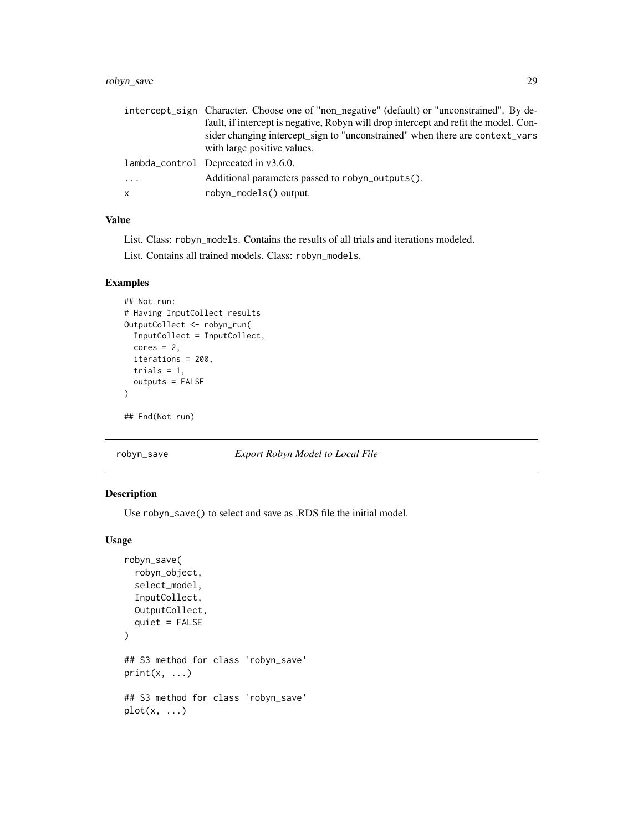# <span id="page-28-0"></span>robyn\_save 29

|   | intercept_sign Character. Choose one of "non_negative" (default) or "unconstrained". By de- |
|---|---------------------------------------------------------------------------------------------|
|   | fault, if intercept is negative, Robyn will drop intercept and refit the model. Con-        |
|   | sider changing intercept_sign to "unconstrained" when there are context_vars                |
|   | with large positive values.                                                                 |
|   | lambda_control Deprecated in v3.6.0.                                                        |
| . | Additional parameters passed to robyn_outputs().                                            |
| x | robyn_models() output.                                                                      |

# Value

List. Class: robyn\_models. Contains the results of all trials and iterations modeled.

List. Contains all trained models. Class: robyn\_models.

#### Examples

```
## Not run:
# Having InputCollect results
OutputCollect <- robyn_run(
  InputCollect = InputCollect,
  cores = 2,iterations = 200,
  trials = 1,
  outputs = FALSE
\mathcal{L}## End(Not run)
```
#### robyn\_save *Export Robyn Model to Local File*

# Description

Use robyn\_save() to select and save as .RDS file the initial model.

#### Usage

```
robyn_save(
  robyn_object,
  select_model,
  InputCollect,
  OutputCollect,
  quiet = FALSE\mathcal{L}## S3 method for class 'robyn_save'
print(x, \ldots)## S3 method for class 'robyn_save'
plot(x, \ldots)
```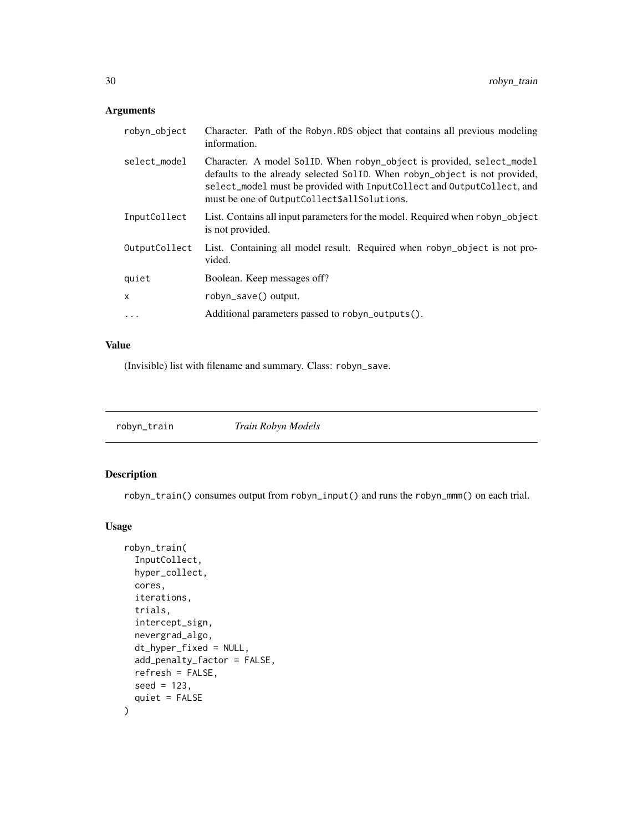# <span id="page-29-0"></span>Arguments

| robyn_object  | Character. Path of the Robyn. RDS object that contains all previous modeling<br>information.                                                                                                                                                                                 |
|---------------|------------------------------------------------------------------------------------------------------------------------------------------------------------------------------------------------------------------------------------------------------------------------------|
| select_model  | Character. A model SollD. When robyn_object is provided, select_model<br>defaults to the already selected SolID. When robyn_object is not provided,<br>select_model must be provided with InputCollect and OutputCollect, and<br>must be one of OutputCollect\$allSolutions. |
| InputCollect  | List. Contains all input parameters for the model. Required when robyn_object<br>is not provided.                                                                                                                                                                            |
| OutputCollect | List. Containing all model result. Required when robyn_object is not pro-<br>vided.                                                                                                                                                                                          |
| quiet         | Boolean. Keep messages off?                                                                                                                                                                                                                                                  |
| X             | robyn_save() output.                                                                                                                                                                                                                                                         |
| $\ddots$      | Additional parameters passed to robyn_outputs().                                                                                                                                                                                                                             |

#### Value

(Invisible) list with filename and summary. Class: robyn\_save.

robyn\_train *Train Robyn Models*

#### Description

robyn\_train() consumes output from robyn\_input() and runs the robyn\_mmm() on each trial.

#### Usage

```
robyn_train(
  InputCollect,
 hyper_collect,
 cores,
  iterations,
 trials,
  intercept_sign,
 nevergrad_algo,
 dt_hyper_fixed = NULL,
 add_penalty_factor = FALSE,
 refresh = FALSE,
 seed = 123,
  quiet = FALSE
\mathcal{L}
```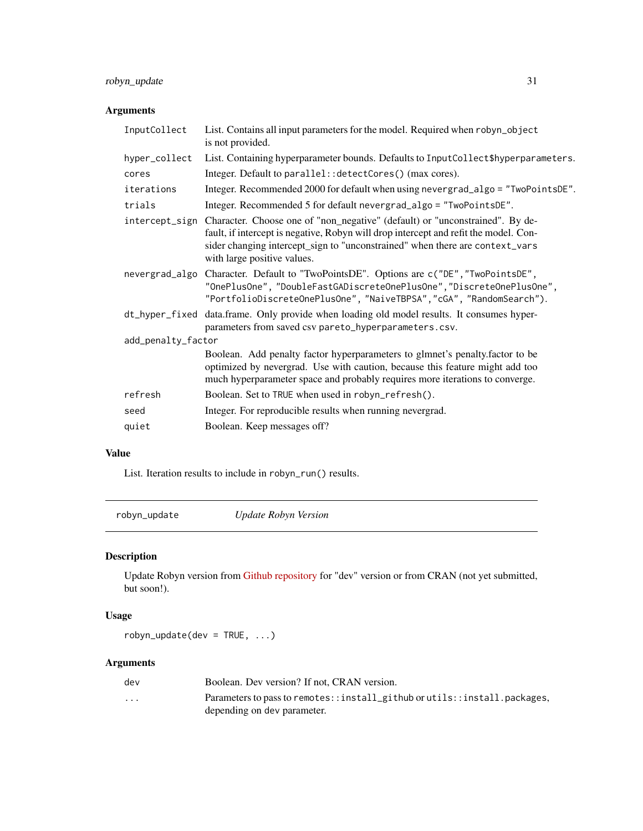# <span id="page-30-0"></span>robyn\_update 31

# Arguments

| List. Contains all input parameters for the model. Required when robyn_object<br>is not provided.                                                                                                                                                                                                  |  |  |
|----------------------------------------------------------------------------------------------------------------------------------------------------------------------------------------------------------------------------------------------------------------------------------------------------|--|--|
| List. Containing hyperparameter bounds. Defaults to InputCollect\$hyperparameters.                                                                                                                                                                                                                 |  |  |
| Integer. Default to parallel:: detectCores() (max cores).                                                                                                                                                                                                                                          |  |  |
| Integer. Recommended 2000 for default when using nevergrad_algo = "TwoPointsDE".                                                                                                                                                                                                                   |  |  |
| Integer. Recommended 5 for default nevergrad_algo = "TwoPointsDE".                                                                                                                                                                                                                                 |  |  |
| intercept_sign Character. Choose one of "non_negative" (default) or "unconstrained". By de-<br>fault, if intercept is negative, Robyn will drop intercept and refit the model. Con-<br>sider changing intercept_sign to "unconstrained" when there are context_vars<br>with large positive values. |  |  |
| Character. Default to "TwoPointsDE". Options are c("DE", "TwoPointsDE",<br>nevergrad_algo<br>"OnePlusOne", "DoubleFastGADiscreteOnePlusOne", "DiscreteOnePlusOne",<br>"PortfolioDiscreteOnePlusOne", "NaiveTBPSA", "cGA", "RandomSearch").                                                         |  |  |
| dt_hyper_fixed data.frame. Only provide when loading old model results. It consumes hyper-<br>parameters from saved csv pareto_hyperparameters.csv.                                                                                                                                                |  |  |
| add_penalty_factor                                                                                                                                                                                                                                                                                 |  |  |
| Boolean. Add penalty factor hyperparameters to glmnet's penalty.factor to be<br>optimized by nevergrad. Use with caution, because this feature might add too<br>much hyperparameter space and probably requires more iterations to converge.                                                       |  |  |
| Boolean. Set to TRUE when used in robyn_refresh().                                                                                                                                                                                                                                                 |  |  |
| Integer. For reproducible results when running nevergrad.                                                                                                                                                                                                                                          |  |  |
| Boolean. Keep messages off?                                                                                                                                                                                                                                                                        |  |  |
|                                                                                                                                                                                                                                                                                                    |  |  |

# Value

List. Iteration results to include in robyn\_run() results.

robyn\_update *Update Robyn Version*

# Description

Update Robyn version from [Github repository](https://github.com/facebookexperimental/Robyn) for "dev" version or from CRAN (not yet submitted, but soon!).

# Usage

robyn\_update(dev = TRUE, ...)

# Arguments

| dev                     | Boolean. Dev version? If not, CRAN version.                               |
|-------------------------|---------------------------------------------------------------------------|
| $\cdot$ $\cdot$ $\cdot$ | Parameters to pass to remotes::install_github or utils::install.packages, |
|                         | depending on dev parameter.                                               |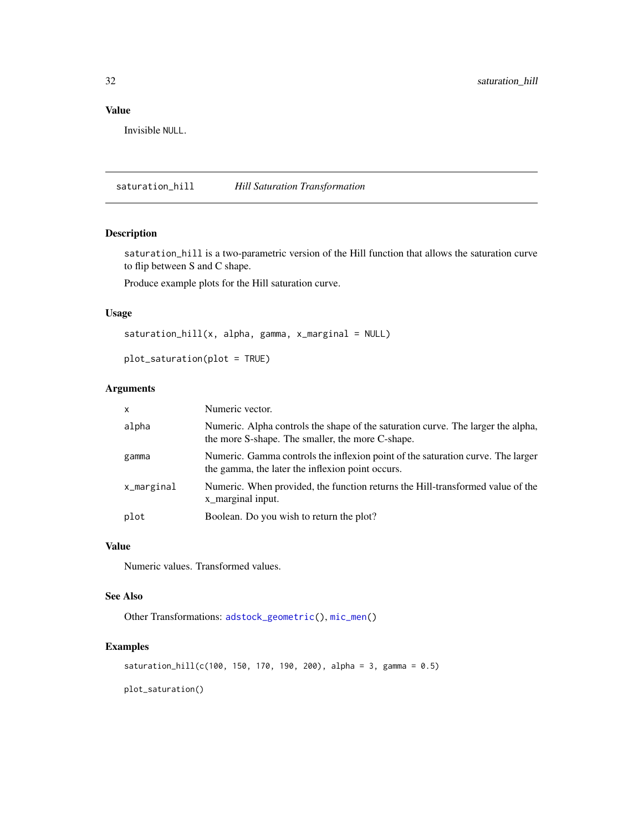# <span id="page-31-0"></span>Value

Invisible NULL.

<span id="page-31-1"></span>saturation\_hill *Hill Saturation Transformation*

#### Description

saturation\_hill is a two-parametric version of the Hill function that allows the saturation curve to flip between S and C shape.

Produce example plots for the Hill saturation curve.

#### Usage

```
saturation\_hill(x, alpha, gamma, x_marginal = NULL)
```

```
plot_saturation(plot = TRUE)
```
#### Arguments

| $\mathsf{x}$ | Numeric vector.                                                                                                                      |
|--------------|--------------------------------------------------------------------------------------------------------------------------------------|
| alpha        | Numeric. Alpha controls the shape of the saturation curve. The larger the alpha,<br>the more S-shape. The smaller, the more C-shape. |
| gamma        | Numeric. Gamma controls the inflexion point of the saturation curve. The larger<br>the gamma, the later the inflexion point occurs.  |
| x_marginal   | Numeric. When provided, the function returns the Hill-transformed value of the<br>x_marginal input.                                  |
| plot         | Boolean. Do you wish to return the plot?                                                                                             |

#### Value

Numeric values. Transformed values.

#### See Also

Other Transformations: [adstock\\_geometric\(](#page-1-1)), [mic\\_men\(](#page-7-1))

# Examples

```
saturation_hill(c(100, 150, 170, 190, 200), alpha = 3, gamma = 0.5)
```
plot\_saturation()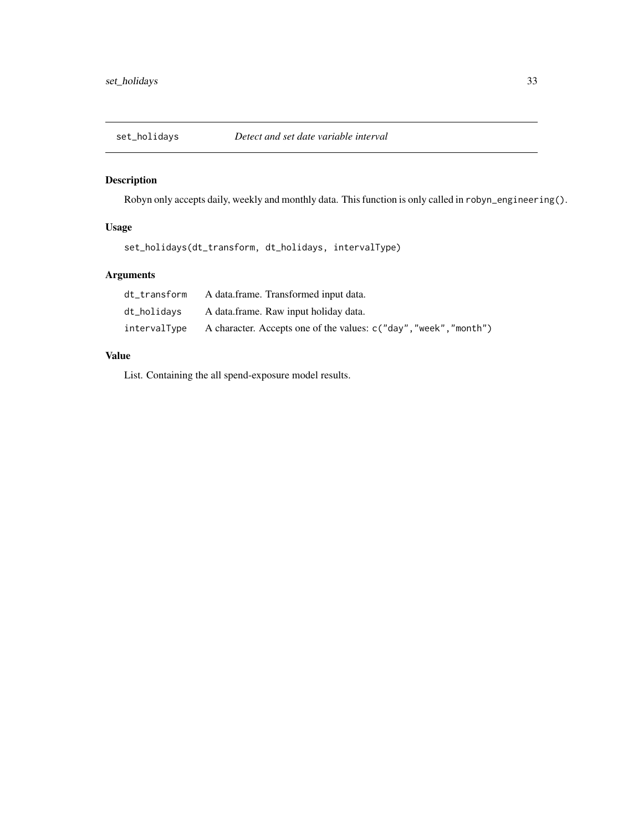<span id="page-32-0"></span>

Robyn only accepts daily, weekly and monthly data. This function is only called in robyn\_engineering().

# Usage

set\_holidays(dt\_transform, dt\_holidays, intervalType)

# Arguments

| dt transform | A data.frame. Transformed input data.                             |
|--------------|-------------------------------------------------------------------|
| dt_holidavs  | A data.frame. Raw input holiday data.                             |
| intervalType | A character. Accepts one of the values: c("day", "week", "month") |

# Value

List. Containing the all spend-exposure model results.